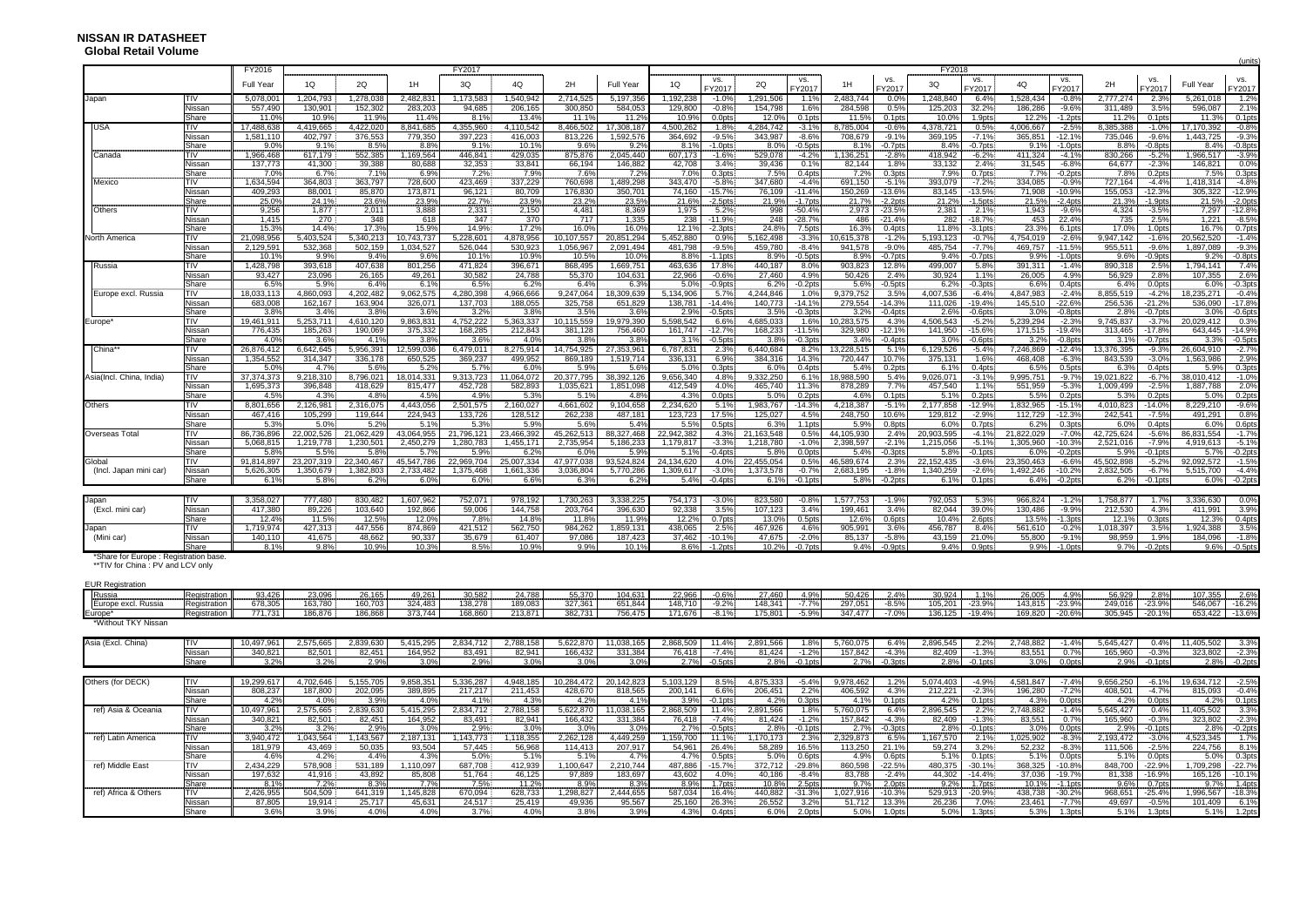|                                       |                      |                    |                  |                 |                  |                 |                 |                |                      |                  |                        |                 |                       |                  |                       |                  |                    |                |                        |                |                    |                    | (units)            |
|---------------------------------------|----------------------|--------------------|------------------|-----------------|------------------|-----------------|-----------------|----------------|----------------------|------------------|------------------------|-----------------|-----------------------|------------------|-----------------------|------------------|--------------------|----------------|------------------------|----------------|--------------------|--------------------|--------------------|
|                                       |                      | FY2016             |                  |                 |                  | FY2017          |                 |                |                      |                  |                        |                 |                       |                  |                       | FY2018           |                    |                |                        |                |                    |                    |                    |
|                                       |                      | <b>Full Year</b>   | 1Q               | 2Q              | 1H               | 3Q              | 4Q              | 2H             | <b>Full Year</b>     | 1Q               | VS.<br>FY2017          | 2Q              | VS.<br>FY2017         | 1H               | VS.<br>FY2017         | 3Q               | VS.<br>FY2017      | 4Q             | VS.<br>FY2017          | 2H             | VS.<br>FY2017      | Full Year          | VS.<br>FY2017      |
| Japan                                 | TIV                  | 5,078,00           | 1,204,793        | 1,278,038       | 2,482,831        | 1,173,583       | 1,540,942       | 2,714,525      | 5,197,356            | 1,192,238        | $-1.0%$                | 1,291,506       | 1.1%                  | 2,483,744        | $0.0\%$               | 1,248,840        | 6.4%               | 1,528,434      | $-0.8%$                | 2,777,274      | 2.3%               | 5,261,018          | 1.2%               |
|                                       | Nissan               | 557,490            | 130,901          | 152,302         | 283,203          | 94,685          | 206,165         | 300,850        | 584,053              | 129,800          | $-0.8%$                | 154,798         | 1.6%                  | 284,598          | 0.5%                  | 125,203          | 32.2%              | 186,286        | $-9.6%$                | 311,489        | 3.5%               | 596,087            | 2.19               |
|                                       | Share                | $11.0^{\circ}$     | 10.9%            | 11.9%           | 11.4%            | 8.1%            | 13.4%           | 11.1%          | 11.2%                | 10.9%            | 0.0pts                 | 12.0%           | $0.1$ <sub>p</sub> ts | 11.5%            | 0.1 <sub>pts</sub>    | 10.0%            | 1.9pts             | 12.2%          | $-1.2$ pts             | 11.2%          | 0.1 <sub>pts</sub> | 11.3%              | 0.1 <sub>pt</sub>  |
| <b>USA</b>                            | TIV                  | 17,488,63          | 4,419,665        | 4,422,020       | 8,841,685        | 4,355,960       | 4,110,542       | 8,466,502      | 17,308,187           | 4,500,262        | 1.8%                   | 4,284,742       | $-3.1%$               | 8,785,004        | $-0.6%$               | 4,378,721        | 0.5%               | 4,006,667      | $-2.5%$                | 8,385,388      | $-1.0%$            | 17,170,392         | $-0.8%$            |
|                                       | Nissan               | 1,581,110          | 402,797          | 376,553         | 779,350          | 397,223         | 416,003         | 813,226        | 1,592,576            | 364,692          | $-9.5%$                | 343,987         | $-8.6%$               | 708,679          | $-9.1%$               | 369,195          | $-7.1%$            | 365,851        | $-12.1%$               | 735,046        | $-9.6%$            | 1,443,725          | $-9.3%$            |
|                                       | Share                | $9.0^{\circ}$      | 9.1%             | 8.5%            | 8.8%             | 9.1%            | 10.1%           | 9.6%           | 9.2%                 | 8.1%             | $-1.0$ pts             | 8.0%            | $-0.5$ pts            | 8.1%             | $-0.7$ pts            | 8.4%             | $-0.7$ pts         | 9.1%           | $-1.0$ pts             | 8.8%           | $-0.8$ pts         | 8.4%               | $-0.8pt$           |
| Canada                                | TIV                  | 1,966,468          | 617,179          | 552,385         | 1,169,564        | 446,841         | 429,035         | 875,876        | 2,045,440            | 607,173          | $-1.6%$                | 529,078         | $-4.2%$               | 1,136,251        | $-2.8%$               | 418,942          | $-6.2%$            | 411,324        | $-4.1%$                | 830,266        | $-5.2%$            | 1,966,517          | $-3.9%$            |
|                                       | Nissan               | 137.773            | 41.300           | 39.388          | 80.688           | 32.353          | 33,841          | 66.194         | 146.882              | 42.708           | 3.4%                   | 39.436          | 0.1%                  | 82.144           | 1.8%                  | 33,132           | 2.4%               | 31,545         | $-6.8%$                | 64,677         | $-2.3%$            | 146,821            | 0.0%               |
|                                       | Share                | 7.09               | 6.7%             | 7.1%            | 6.9%             | 7.2%            | 7.9%            | 7.6%           | 7.2%                 | 7.0%             | 0.3pts                 | 7.5%            | 0.4pt:                | 7.2%             | 0.3pts                | 7.9%             | 0.7pts             | 7.7%           | $-0.2$ pts             | 7.8%           | $0.2$ pt:          | 7.5%               | $0.3$ pts          |
| Mexico                                | TIV                  | 1,634,594          | 364,803          | 363,797         | 728,600          | 423,469         | 337,229         | 760,698        | 489,298              | 343,470          | $-5.8%$                | 347,680         | $-4.4%$               | 691,150          | $-5.1%$               | 393,079          | $-7.2%$            | 334,085        | $-0.9%$                | 727,164        | $-4.4%$            | 1,418,314          | $-4.89$            |
|                                       | Nissan               | 409,293            | 88,001           | 85,870          | 173,871          | 96,121          | 80,709          | 176,830        | 350,701              | 74,160           | -15.7%                 | 76,109          | $-11.4%$              | 150,269          | -13.6%                | 83,145           | $-13.5%$           | 71,908         | $-10.9%$               | 155,053        | $-12.3%$           | 305,322            | $-12.9%$           |
|                                       | Share                | 25.09              | 24.1%            | 23.6%           | 23.9%            | 22.7%           | 23.9%           | 23.2%          | 23.5%                | 21.6%            | $-2.5$ pts             | 21.9%           | $-1.7$ pt:            | 21.7%            | $-2.2$ pts            | 21.2%            | $-1.5$ pts         | 21.5%          | $-2.4$ pts             | 21.3%          | $-1.9$ pt:         | 21.5%              | $-2.0pt$           |
| Others                                | <b>TIV</b>           | 9.256              | 1.877            | 2.011           | 3.888            | 2.331           | 2,150           | 4,481          | 8.369                | 1,975            | 5.2%                   | 998             | $-50.4%$              | 2.973            | $-23.5%$              | 2,381            | 2.1%               | 1,943          | $-9.6%$                | 4,324          | $-3.5%$            | 7,297              | $-12.89$           |
|                                       | Nissar               | 1,415              | 270              | 348             | 618              | 347             | 370             | 717            | 1,335                | 238              | $-11.9%$               | 248             | $-28.7%$              | 486              | $-21.4%$              | 282              | $-18.7%$           | 453            | 22.4%                  | 735            | 2.5%               | 1,221              | $-8.5%$            |
|                                       | Share                | $15.3^{\circ}$     | 14.4%            | 17.3%           | 15.9%            | 14.9%           | 17.2%           | 16.0%          | 16.0%                | 12.1%            | $-2.3pts$              | 24.8%           | 7.5pts                | 16.3%            | 0.4pts                | 11.8%            | $-3.1$ pts         | 23.3%          | 6.1pts                 | 17.0%          | 1.0pts             | 16.7%              | 0.7pt              |
| North America                         | TIV                  | 21,098,956         | 5,403,524        | 5,340,213       | 10,743,737       | 5,228,601       | 4,878,956       | 10,107,557     | 20,851,294           | 5,452,880        | 0.9%                   | 5,162,498       | $-3.3%$               | 10,615,378       | $-1.2%$               | 5,193,123        | $-0.7%$            | 4,754,019      | $-2.6%$                | 9,947,142      | $-1.6%$            | 20,562,520         | $-1.49$            |
|                                       | Nissan               | 2,129,59           | 532,368          | 502,159         | 1,034,527        | 526,044         | 530,923         | 1,056,967      | 2,091,494            | 481,798          | $-9.5%$                | 459,780         | $-8.4%$               | 941,578          | $-9.0%$               | 485,754          | $-7.7%$            | 469,757        | $-11.5%$               | 955,511        | $-9.6%$            | 1,897,089          | $-9.3%$            |
|                                       | Share                | 10.19              | 9.9%             | 9.4%            | 9.6%             | 10.1%           | 10.9%           | 10.5%          | 10.0%                | 8.8%             | $-1.1$ pts             | 8.9%            | $-0.5$ pts            | 8.9%             | $-0.7$ pts            | 9.4%             | $-0.7$ pts         | 9.9%           | $-1.0$ <sub>p</sub> ts | 9.6%           | $-0.9$ pts         | 9.2%               | $-0.8$ pts         |
| Russia                                | TIV                  | 1,428,798          | 393,618          | 407,638         | 801,256          | 471,824         | 396,671         | 868,495        | 1,669,751            | 463,636          | 17.8%                  | 440,187         | 8.0%                  | 903,823          | 12.8%                 | 499,007          | 5.8%               | 391,311        | $-1.4%$                | 890,318        | 2.5%               | 1,794,141          | 7.4%               |
|                                       | Nissan               | 93,427             | 23,096           | 26,165          | 49,261           | 30,582          | 24,788          | 55,370         | 104,631              | 22,966           | $-0.6%$                | 27,460          | 4.9%                  | 50,426           | 2.4%                  | 30,924           | 1.1%               | 26,005         | 4.9%                   | 56,929         | 2.8%               | 107,355            | $2.6^{\circ}$      |
|                                       | Share                | 6.5%               | 5.9%             | 6.4%            | 6.19             | 6.5%            | 6.2%            | 6.4%           | 6.3%                 | 5.0%             | $-0.9$ pts             | 6.2%            | $-0.2$ pts            | 5.6%             | $-0.5$ pts            | 6.2%             | $-0.3$ pts         | 6.6%           | 0.4 <sub>pts</sub>     | 6.4%           | $0.0$ pts          | 6.0%               | $-0.3pt$           |
| Europe excl. Russia                   | TIV                  | 18,033,113         | 4,860,093        | 4,202,482       | 9,062,575        | 4,280,398       | 4,966,666       | 9,247,064      | 18,309,639           | 5,134,906        | 5.7%                   | 4,244,846       | 1.0%                  | 9,379,752        | 3.5%                  | 4,007,536        | $-6.4%$            | 4,847,983      | $-2.4%$                | 8,855,519      | $-4.2%$            | 18,235,271         | $-0.4%$            |
|                                       | Nissan               | 683,008            | 162,167          | 163,904         | 326,071          | 137,703         | 188,055         | 325,758        | 651,829              | 138,781          | $-14.4%$               | 140,773         | $-14.1%$              | 279,554          | $-14.3%$              | 111,026          | $-19.4%$           | 145,510        | $-22.6%$               | 256,536        | $-21.2%$           | 536,090            | $-17.89$           |
|                                       | Share                | 3.8%               | 3.4%             | 3.8%            | 3.6%             | 3.2%            | 3.8%            | 3.5%           | 3.6%                 | 2.9%             | $-0.5$ pts             | 3.5%            | $-0.3pt$              | 3.2%             | $-0.4$ pts            | 2.6%             | $-0.6$ pts         | 3.0%           | $-0.8$ pts             | 2.8%           | $-0.7$ pts         | 3.0%               | $-0.6pt$           |
| Europe'                               | TIV                  | 19,461,91          | 5,253,711        | 4,610,120       | 9,863,831        | 4,752,222       | 5,363,337       | 10,115,559     | 19,979,390           | 5,598,542        | 6.6%                   | 4,685,033       | 1.6%                  | 10,283,575       | 4.3%                  | 4,506,543        | $-5.2%$            | 5,239,294      | $-2.3%$                | 9,745,837      | $-3.7%$            | 20,029,412         | 0.39               |
|                                       | Nissan               | 776,435            | 185,263          | 190,069         | 375,332          | 168,285         | 212,843         | 381,128        | 756,460              | 161,747          | $-12.7%$               | 168,233         | $-11.5%$              | 329,980          | $-12.1%$              | 141,950          | -15.6%             | 171,515        | $-19.4%$               | 313,465        | $-17.8%$           | 643,445            | $-14.99$           |
|                                       | Share                | $4.0^{\circ}$      | 3.6%             | 4.1%            | 3.8%             | 3.6%            | 4.0%            | 3.8%           | 3.8%                 | 3.1%             | $-0.5$ pts             | 3.8%            | $-0.3$ pts            | 3.4%             | $-0.4$ pts            | 3.0%             | $-0.6$ pts         | 3.2%           | $-0.8$ pts             | 3.1%           | $-0.7$ pts         | 3.3%               | $-0.5pt$           |
| China'                                | TIV                  | 26,876,41          | 6,642,645        | 5,956,391       | 12,599,036       | 6,479,011       | 8,275,914       | 14,754,925     | 27,353,96            | 6,787,831        | 2.3%                   | 6,440,684       | 8.2%                  | 13,228,515       | 5.1%                  | 6,129,526        | $-5.4%$            | 7,246,869      | $-12.4%$               | 13,376,395     | $-9.3%$            | 26,604,910         | $-2.7%$            |
|                                       | Nissan               | 1,354,552          | 314,347          | 336,178         | 650,525          | 369,237         | 499,952         | 869,189        | 1,519,714            | 336,131          | 6.9%                   | 384,316         | 14.3%                 | 720,447          | 10.7%                 | 375,131          | 1.6%               | 468,408        | $-6.3%$                | 843,539        | $-3.0%$            | 1,563,986          | 2.9%               |
|                                       | Share                | 5.0%               | 4.7%             | 5.6%            | 5.2%             | 5.7%            | 6.0%            | 5.9%           | 5.6%                 | 5.0%             | 0.3 <sub>pts</sub>     | 6.0%            | 0.4 <sub>pts</sub>    | 5.4%             | 0.2 <sub>pts</sub>    | 6.1%             | 0.4pts             | 6.5%           | 0.5 <sub>pts</sub>     | 6.3%           | 0.4 <sub>pts</sub> | 5.9%               | 0.3pt              |
| Asia(Incl. China, India)              | TIV                  | 37,374,373         | 9,218,310        | 8,796,021       | 18,014,331       | 9,313,723       | 11,064,072      | 20,377,795     | 38,392,126           | 9,656,340        | 4.8%                   | 9,332,250       | 6.1%                  | 18,988,590       | 5.4%                  | 9,026,071        | $-3.1%$            | 9,995,751      | $-9.7%$                | 19,021,822     | $-6.7%$            | 38,010,412         | $-1.09$            |
|                                       | Nissan               | 1.695.373          | 396,848          | 418,629         | 815,477          | 452,728         | 582,893         | 1,035,621      | 1,851,098            | 412,549          | 4.0%                   | 465,740         | 11.3%                 | 878,289          | 7.7%                  | 457,540          | 1.1%               | 551,959        | $-5.3%$                | 1,009,499      | $-2.5%$            | 1,887,788          | 2.0%               |
|                                       | Share                | 4.5%               | 4.3%             | 4.8%            | 4.5%             | 4.9%            | 5.3%            | 5.1%           | 4.8%                 | 4.3%             | 0.0pts                 | 5.0%            | 0.2 <sub>pts</sub>    | 4.6%             | 0.1 <sub>pts</sub>    | 5.1%             | 0.2 <sub>pts</sub> | 5.5%           | 0.2pts                 | 5.3%           | 0.2 <sub>pts</sub> | 5.0%               | 0.2 <sub>pts</sub> |
| Others                                | TIV I                | 8,801,65           | 2,126,981        | 2,316,075       | 4,443,056        | 2,501,575       | 2,160,027       | 4,661,602      | 9,104,658            | 2,234,620        | 5.1%                   | 1,983,767       | $-14.3%$              | 4,218,387        | $-5.1%$               | 2,177,858        | $-12.9%$           | 1,832,965      | $-15.19$               | 4,010,823      | $-14.0%$           | 8,229,210          | $-9.69$            |
|                                       | Nissan               | 467,416            | 105,299          | 119,644         | 224,943          | 133,726         | 128,512         | 262,238        | 487,181              | 123,723          | 17.5%                  | 125,027         | 4.5%                  | 248,750          | 10.6%                 | 129,812          | $-2.9%$            | 112,729        | $-12.3%$               | 242,541        | $-7.5%$            | 491,291            | 0.8%               |
|                                       | Share                | 5.3%               | 5.0%             | 5.2%            | 5.1%             | 5.3%            | 5.9%            | 5.6%           | 5.4%                 | 5.5%             | 0.5 <sub>pts</sub>     | 6.3%            | 1.1pts                | 5.9%             | 0.8pts                | 6.0%             | 0.7pts             | 6.2%           | 0.3 <sub>pts</sub>     | 6.0%           | 0.4pts             | 6.0%               | 0.6pt              |
| Overseas Total                        | TIV                  | 86,736,896         | 22,002,526       | 21,062,429      | 43,064,955       | 21,796,121      | 23,466,392      | 45,262,513     | 88,327,468           | 22,942,382       |                        | 4.3% 21,163,548 | 0.5%                  | 44,105,930       | 2.4%                  | 20,903,595       | $-4.1%$            | 21,822,029     | $-7.0%$                | 42,725,624     | $-5.6%$            | 86,831,554         | $-1.7%$            |
|                                       | Nissan               | 5,068,81           | 1,219,778        | 1,230,501       | 2,450,279        | 1,280,783       | 1,455,171       | 2,735,954      | 5,186,233            | 1,179,817        | $-3.3%$                | 1,218,780       | $-1.0%$               | 2,398,597        | $-2.1%$               | 1,215,056        | $-5.1%$            | 1,305,960      | $-10.39$               | 2,521,016      | $-7.9%$            | 4,919,613          | $-5.19$            |
|                                       | Share                | $5.8^{\circ}$      | 5.5%             | 5.8%            | 5.7%             | 5.9%            | 6.2%            | 6.0%           | 5.9%                 | 5.1%             | $-0.4$ pts             | 5.8%            | $0.0$ <sub>pts</sub>  | 5.4%             | $-0.3$ pts            | 5.8%             | $-0.1$ pts         | 6.0%           | $-0.2$ pts             | 5.9%           | $-0.1$ pts         | 5.7%               | $-0.2pt$           |
| Global                                | TIV                  | 91,814,897         | 23,207,319       | 22,340,467      | 45,547,786       | 22,969,704      | 25,007,334      | 47,977,038     | 93,524,824           | 24,134,620       | 4.0%                   | 22,455,054      | 0.5%                  | 46,589,674       | 2.3%                  | 22, 152, 435     | $-3.6%$            | 23,350,463     | $-6.69$                | 45,502,898     | $-5.2%$            | 92,092,572         | $-1.5%$            |
| (Incl. Japan mini car)                | Nissan               | 5,626,305          | 1.350.679        | 1,382,803       | 2,733,482        | 1,375,468       | 1,661,336       | 3.036.804      | 5,770,286            | 1,309,617        | $-3.0%$                | 1,373,578       | $-0.7%$               | 2,683,195        | $-1.8%$               | 1,340,259        | $-2.6%$            | 1,492,246      | $-10.2%$               | 2,832,505      | $-6.7%$            | 5,515,700          | $-4.4%$            |
|                                       | Share                | 6.1%               | 5.8%             | 6.2%            | 6.0%             | 6.0%            | 6.6%            | 6.3%           | 6.2%                 | 5.4%             | $-0.4$ pts             | 6.1%            | $-0.1$ pts            | 5.8%             | $-0.2$ pts            | 6.1%             | 0.1pts             | 6.4%           | $-0.2$ pts             | 6.2%           | $-0.1$ pts         | 6.0%               | $-0.2$ pts         |
|                                       |                      |                    |                  |                 |                  |                 |                 |                |                      |                  |                        |                 |                       |                  |                       |                  |                    |                |                        |                |                    |                    |                    |
| Japan                                 | TIV                  | 3,358,027          | 777,480          | 830,482         | 1,607,962        | 752,071         | 978,192         | 1,730,263      | 3,338,225            | 754,173          | $-3.0%$                | 823,580         | $-0.8%$               | 1,577,753        | $-1.9%$               | 792,053          | 5.3%               | 966,824        | $-1.2%$                | 1,758,877      | 1.7%               | 3,336,630          | 0.0%               |
| (Excl. mini car)                      | Nissan               | 417,380            | 89,226           | 103,640         | 192,866          | 59,006          | 144,758         | 203,764        | 396,630              | 92,338           | 3.5%                   | 107,123         | 3.4%                  | 199,461          | 3.4%                  | 82,044           | 39.0%              | 130,486        | $-9.9%$                | 212,530        | 4.3%               | 411,991            | 3.9%               |
|                                       | Share                | 12.4%<br>1.719.974 | 11.5%<br>427.313 | 12.5%           | 12.0%<br>874.869 | 7.8%<br>421.512 | 14.8%           | 11.8%          | 11.9%                | 12.2%<br>438.065 | 0.7pts                 | 13.0%           | $0.5$ pt:             | 12.6%<br>905.991 | 0.6pts                | 10.4%<br>456.787 | 2.6pts             | 13.5%          | $-1.3pts$              | 12.1%          | 0.3 <sub>pts</sub> | 12.3%<br>1.924.388 | $0.4$ pts          |
| apan                                  | <b>TIV</b><br>Nissan |                    |                  | 447,556         |                  | 35.679          | 562,750         | 984,262        | 1,859,131<br>187.423 |                  | 2.5%                   | 467,926         | 4.6%                  |                  | 3.6%                  |                  | 8.4%               | 561,610        | $-0.2%$                | 1,018,397      | 3.5%<br>1.9%       |                    | 3.5%<br>$-1.89$    |
| (Mini car)                            | Share                | 140,110<br>8.1%    | 41,675<br>9.8%   | 48,662<br>10.9% | 90,337<br>10.3%  | 8.5%            | 61,407<br>10.9% | 97,086<br>9.9% | 10.1%                | 37,462<br>8.6%   | $-10.1%$<br>$-1.2$ pts | 47,675<br>10.2% | $-2.0%$<br>$-0.7$ pts | 85,137<br>9.4%   | $-5.8%$<br>$-0.9$ pts | 43,159<br>9.4%   | 21.0%<br>0.9pts    | 55,800<br>9.9% | $-9.1%$<br>$-1.0$ pts  | 98,959<br>9.7% | $-0.2$ pts         | 184,096<br>9.6%    | $-0.5$ pts         |
| *Share for Europe : Registration base |                      |                    |                  |                 |                  |                 |                 |                |                      |                  |                        |                 |                       |                  |                       |                  |                    |                |                        |                |                    |                    |                    |
| **TIV for China: PV and LCV only      |                      |                    |                  |                 |                  |                 |                 |                |                      |                  |                        |                 |                       |                  |                       |                  |                    |                |                        |                |                    |                    |                    |
|                                       |                      |                    |                  |                 |                  |                 |                 |                |                      |                  |                        |                 |                       |                  |                       |                  |                    |                |                        |                |                    |                    |                    |
| <b>EUR Registration</b>               |                      |                    |                  |                 |                  |                 |                 |                |                      |                  |                        |                 |                       |                  |                       |                  |                    |                |                        |                |                    |                    |                    |
| Russia                                | Registratior         | 93,426             | 23,096           | 26,165          | 49,261           | 30,582          | 24,788          | 55,370         | 104,63'              | 22,966           | $-0.6%$                | 27,460          | 4.9%                  | 50,426           | 2.4%                  | 30,924           | 1.1%               | 26,005         | 4.9%                   | 56,929         | 2.8%               | 107,355            | 2.6%               |
| Europe excl. Russia                   | Registration         | 678,305            | 163,780          | 160,703         | 324,483          | 138,278         | 189,083         | 327,361        | 651,844              | 148,710          | $-9.2%$                | 148,341         | $-7.7%$               | 297,051          | $-8.5%$               | 105,201          | $-23.9%$           | 143,815        | $-23.9%$               | 249,016        | $-23.9%$           | 546,067            | $-16.2%$           |
| Europe*                               | Registration         | 771.731            | 186,876          | 186,868         | 373.744          | 168.860         | 213.871         | 382,731        | 756.475              | 171.676          | $-8.1%$                | 175,801         | $-5.9%$               | 347.477          | $-7.0%$               | 136, 125         | $-19.4%$           | 169.820        | $-20.6%$               | 305,945        | $-20.1%$           |                    | 653,422 -13.6%     |
| *Without TKY Nissan                   |                      |                    |                  |                 |                  |                 |                 |                |                      |                  |                        |                 |                       |                  |                       |                  |                    |                |                        |                |                    |                    |                    |
|                                       |                      |                    |                  |                 |                  |                 |                 |                |                      |                  |                        |                 |                       |                  |                       |                  |                    |                |                        |                |                    |                    |                    |

| Asia (Excl. China)   | I I V  | 10,497,96  | 2,575,665 | 2,839,630 | 5,415,295 | 2.834.712 | ,788,158      | 5,622,87  | 1,038,165  | 2,868,50  |                    | !,891,566 | .8%       | 5,760,075 |            | 2,896,545 | 2.2%           | 2,748,882 |                  | 5,645,427 | 0.4°                  |            | 3.3%               |
|----------------------|--------|------------|-----------|-----------|-----------|-----------|---------------|-----------|------------|-----------|--------------------|-----------|-----------|-----------|------------|-----------|----------------|-----------|------------------|-----------|-----------------------|------------|--------------------|
|                      | Nissar | 340,82     | 82,501    | 82,451    | 164,952   | 83,491    | 82,941        | 166,432   | 331,384    | 76,418    | -7.4%              | 81,424    | 1.2%      | 157,842   | $-4.3%$    | 82,409    | $-1.3%$        | 83,551    | 0.7%             | 165,960   | $-0.3%$               | 323,802    | $-2.3%$            |
|                      | Share  | 3.2%       | 3.2%      | 2.9%      | 3.0%      | 2.9%      | 3.0%          | $3.0\%$   | 3.0%       | 2.7%      | -0.5pts            | 2.8%      | 0.1pts    | 2.7%      | $-0.3$ pts | 2.8%      | .1pts          | 3.0%      | ).0pts           | 2.9%      | -0.1pts               | 2.8%       | $-0.2$ pts         |
|                      |        |            |           |           |           |           |               |           |            |           |                    |           |           |           |            |           |                |           |                  |           |                       |            |                    |
| Others (for DECK)    | тıv    | 19,299,617 | 4,702,646 | 5,155,705 | 9,858,351 | 5,336,287 | 4,948,185     | 0,284,47  | 20.142.823 | 5.103.129 | 8.5%               | 4,875,333 | $-5.4%$   | 9,978,462 |            | 5,074,403 | $-4.9%$        | 4,581,847 | -7.4%            | 9,656,250 | $-6.1%$               | 19.634.712 | $-2.5%$            |
|                      | Nissar | 808,237    | 187,800   | 202,095   | 389,895   | 217,217   | 211,453       | 428,670   | 818,565    | 200,141   | 6.6%               | 206,451   | 2.2%      | 406,592   |            | 212,221   | $-2.3%$        | 196,280   | $-7.2%$          | 408,501   | $-4.7%$               | 815,093    | $-0.4%$            |
|                      | Share  | 4.2%       | 4.0%      | 3.9%      | 4.0%      | 4.1%      | 4.39          | 4.2%      | 4.1%       | 3.9%      | -0.1pts:           | 4.2%      | 0.3pts    | 4.1%      | 0.1pts     | 4.2%      | ).1pts:        | 4.3%      | ).0pts           | 4.2%      | $0.0$ <sub>p</sub> ts | 4.2%       | $0.1$ pts          |
| ref) Asia & Oceania  | TIV    | 10,497,961 | 2,575,665 | 2,839,630 | 5,415,295 | 2.834.712 | .788,158      | 5,622,870 | 1,038,165  | 2,868,509 |                    | .891,566  | 1.8%      | 5,760,075 |            | 2,896,545 | 2.2%           | 2,748,882 |                  | 5,645,427 | 0.4%                  | ,405,502   | 3.3%               |
|                      | Nissan | 340.82     | 82.501    | 82,451    | 164,952   | 83.491    | 82,941        | 166,432   | 331,384    | 76,418    | $-7.4%$            | 81,424    | 1.2%      | 157,842   | $-4.3%$    | 82,409    | $-1.3%$        | 83,551    |                  | 165,960   | $-0.3%$               | 323,802    | $-2.3%$            |
|                      | Share  | 3.2%       | 3.2%      | 2.9%      | 3.0%      | 2.9%      | 3.09          | 3.0%      | 3.0%       | 2.7%      | $-0.5$ pts         | 2.8%      | $0.1$ pts | 2.7%      | $-0.3pts$  | 2.8%      | $\gamma$ 1pts: | 3.0%      | 0.0pts           | 2.9%      | $0.1$ pts             | 2.8%       | $0.2$ pts          |
| ref) Latin America   | ГIV    | 3,940,472  | 043,564   | ,143,567  | 2,187,131 | 143,773   | ,118,355      | 2,262,128 | 4,449,259  | ,159,700  | 11.1%              | 170,173   | 2.3%      | 2,329,873 |            | 167,570   | 2.1%           | ,025,902  | $-8.3%$          | 2,193,472 | $-3.0%$               | 1,523,345  | 1.7%               |
|                      | Nissar | 181,979    | 43,469    | 50,035    | 93,504    | 57,445    | 56,968        | 114,413   | 207,917    | 54,961    | 26.4%              | 58,289    | 16.5%     | 13,250    | 21.1%      | 59,274    | 3.2%           | 52,232    | $-8.3%$          | 111,506   | $-2.5%$               | 224,756    | 8.1%               |
|                      | Share  | 4.6%       | 4.2%      | 4.4%      | 4.3%      | 5.0%      | $5.1^{\circ}$ | 5.1%      | 4.7%       | 4.7%      | 0.5 <sub>pts</sub> | 5.0%      | 0.6pts    | 4.9%      | 0.6pts     | 5.1%      | ).1pts         | 5.1%      | 0.0pts           | 5.1%      | 0.0pts                | 5.0%       | 0.3 <sub>pts</sub> |
| ref) Middle East     | TIV    | 2,434,229  | 578,908   | 531,189   | ,110,097  | 687,708   | 412,939       | ,100,647  | 2,210,744  | 487,886   | -15.7%             | 372,712   | $-29.8%$  | 860,598   | $-22.5%$   | 480,375   | $-30.1%$       | 368,325   |                  | 848,700   | $-22.99$              | ,709,298   | $-22.7%$           |
|                      | Nissar | 197,632    | 41,916    | 43,892    | 85,808    | 51.764    | 46,125        | 97,889    | 83,697     | 43,602    | 4.0%               | 40,186    | $-8.4%$   | 83,788    | $-2.4%$    | 44,302    | -14.4%         | 37,036    | -19.7%           | 81,338    | -16.9%                | 165,126    | $-10.1%$           |
|                      | Share  |            | 7.2%      | 8.3%      | 7.7%      | 7.5%      | 11.29         | 8.9%      | 8.3%       | 8.9%      | 1.7pts             | 10.8%     | 2.5pts    | 9.7%      | 2.0pts     | 9.2%      | 1.7pts         | 10.1%     | 1.1pts -         | 9.6%      | 0.7pts                | $9.7\%$    | 1.4pts             |
| ref) Africa & Others | ГIV    | 2,426,955  | 504,509   | 641,319   | 145,828   | 670,094   | 628,733       | ,298,827  | 2,444,655  | 587,034   | 16.4%              | 440,882   | $-31.3%$  | 1,027,91  | $-10.3%$   | 529,913   | $-20.9%$       | 438,738   | $-30.2%$         | 968,651   | $-25.49$              | ,996,567   | $-18.3%$           |
|                      | Nissar | 87,805     | 19,914    | 25,717    | 45,631    | 24,517    | 25,419        | 49,936    | 95,567     | 25,160    | 26.3%              | 26,552    | 3.2%      | 51,712    | 13.3%      | 26,236    | 7.0%           | 23,461    | -7.7%            | 49,697    | $-0.5%$               | 101,409    | 6.1%               |
|                      | Share  | 3.6%       | 3.9%      | 4.0%      | 4.0%      | 3.7%      |               | $3.8\%$   | 3.9%       | 4.3%      | $0.4$ nts          | 6.0%      | 2.0pts    | 5.0%      | .0pts      | 5.0%      | .3pts          | 5.3%      | 3 <sub>nts</sub> | 5.1%      | 1.3pts                | 5.1%       | 1.2pts             |

## **NISSAN IR DATASHEET Global Retail Volume**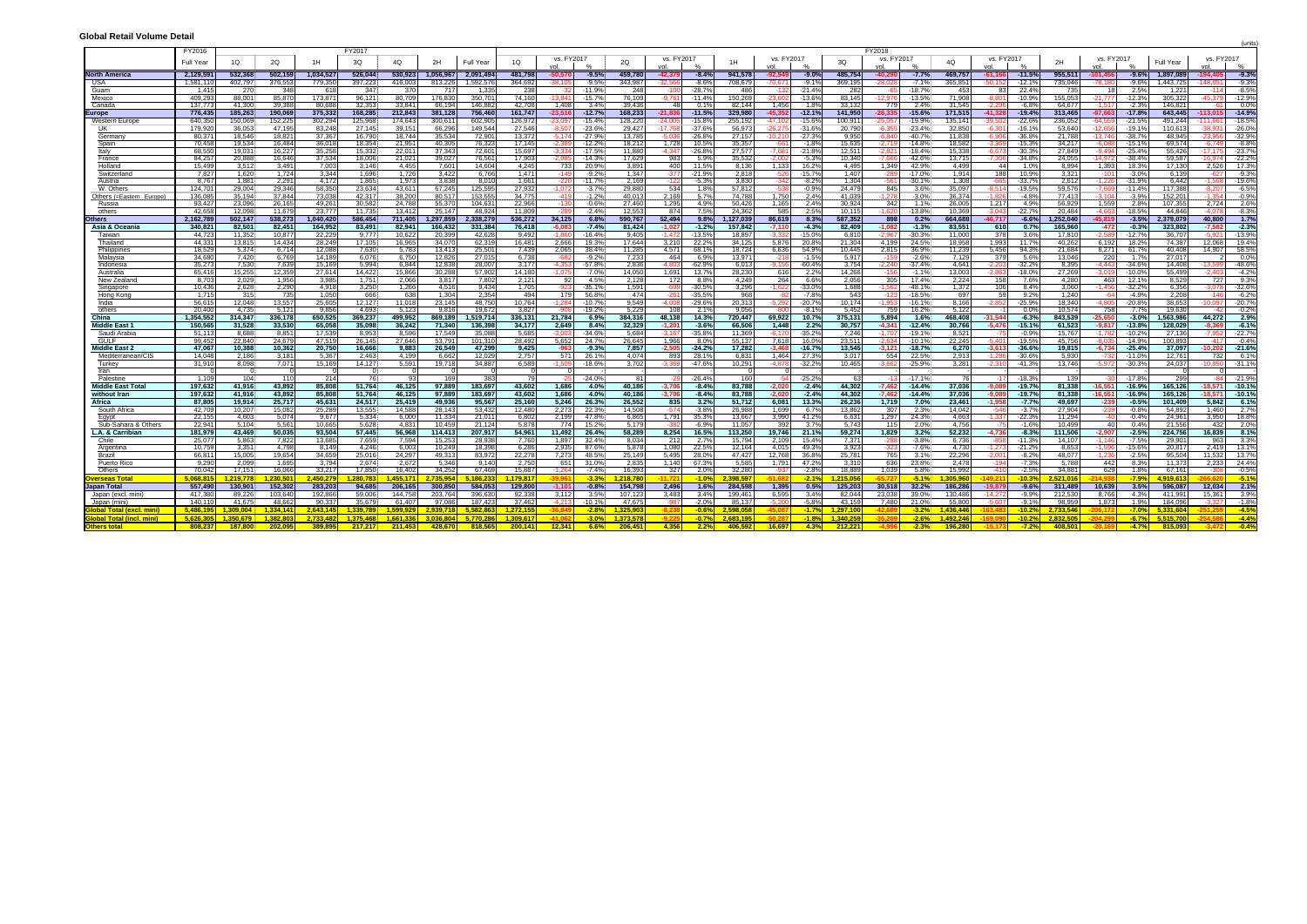| JIUWAI NGLAII VUIUIIIG DELA          |                    |                  |                   |                        |                  |                 |                   |                     |                  |                     |                      |                          |                     |                      |                   |                    |                     |                  |                                           |                   |                            |                             |                   |                                            |                    | (unit:                                             |
|--------------------------------------|--------------------|------------------|-------------------|------------------------|------------------|-----------------|-------------------|---------------------|------------------|---------------------|----------------------|--------------------------|---------------------|----------------------|-------------------|--------------------|---------------------|------------------|-------------------------------------------|-------------------|----------------------------|-----------------------------|-------------------|--------------------------------------------|--------------------|----------------------------------------------------|
|                                      | FY2016             |                  |                   |                        | FY2017           |                 |                   |                     |                  |                     |                      |                          |                     |                      |                   |                    |                     |                  | FY2018                                    |                   |                            |                             |                   |                                            |                    |                                                    |
|                                      | Full Year          | 1Q               | 2Q                | 1H                     | 3Q               | 4Q              | 2H                | Full Year           | 1Q               | vs. FY2017          |                      | 2Q                       | vs. FY2017          |                      |                   | vs. FY2017         |                     | 3Q               | vs. FY2017                                | 4Q                | vs. FY2017                 |                             | 2H                | vs. FY2017                                 | Full Year          | vs. FY2017                                         |
| <b>North America</b>                 |                    | 532,368          | 502,159           | 1,034,527              | 526,044          | 530,923         | 1,056,96          |                     | 481,798          | -50.570             | $-9.5%$              | 459,780                  |                     | $-8.4%$              | 941,578           | vol<br>$-92.949$   | $-9.0%$             | 485,754          | vol<br>$-40.29$<br>$-7.7%$                | 469,757           | $-61.166$                  |                             | 955,511           | $-101.45$                                  | 1,897,089          | $-194.40$<br>$-9.3%$                               |
| USA                                  | 2,129,5<br>1,581,1 | 402,797          | 376,55;           | 779,350                | 397,223          | 416,00          | 813,22            | 2,091,49<br>,592,57 | 364,692          | 38,10!              | $-9.5%$              | 343,987                  | $-42,379$<br>32,566 | $-8.6%$              | 708,679           | 70,671             | $-9.1^{\circ}$      | 369,195          | $-7.1%$                                   | 365,851           |                            | $-11.5$<br>$-12.19$         | 735,046           | $-9.6%$<br>$-9.6%$                         | ,443,725           | $-9.39$<br>148.                                    |
| Guam                                 | 1.41               | 270              | -341              | 61                     | 347              | -37             | - 71              | 1.33                | 238              | -32                 | $-11.9%$             | 248                      | $-100$              | $-28.7^{\circ}$      | 486               | $-132$             | -21.4%              | 282              | $-18.7%$<br>-65                           | 453               | 83                         | $22.4^{\circ}$              | -735              | 18<br>$2.5^{\circ}$                        | 1,221              | $-8.5%$<br>$-114$                                  |
| Mexico                               | 409,29             | 88,001           | 85,870            | 173.87                 | 96,121           | 80,70           | 176,83            | 350,70              | 74,160           | $-13.841$           | $-15.7%$             | 76,109                   | $-9,761$            | $-11.49$             | 150,269           | $-23.602$          | $-13.69$            | 83,145           | $-12.976$<br>$-13.5%$                     | 71.908            | -8.801 I                   | $-10.9%$                    | 155,053           | $-21,777$<br>$-12.39$                      | 305,322            | $-45.379$<br>$-12.99$                              |
| Canada                               | 137.77             | 41.300           | 39.388            | 80.688                 | 32.353           | 33.84           | 66.19             | 146.88              | 42.708           | 1.408               | 3.4%                 | 39.436                   | 48                  | 0.1%                 | 82.144            | 1.456              | 1.8%                | 33.132           | 2.4%<br>779                               | 31.545            |                            | $-6.8%$                     | 64.677            | $-2.39$                                    | 146.821            | $0.0\%$                                            |
| <b>rope</b>                          | 776.43             | 185.263          | 190.069           | 375.332                | 168.285          | 212.84          | 381.128           | 756.46              | 161.747          | $-23.516$           | $-12.7%$             | 168.233                  | $-21.836$           | $-11.5%$             | 329.980           | $-45.352$          | $-12.1%$            | 141.950          | $-15.6%$<br>$-26.335$                     | 171.515           | $-41.328$                  | $-19.4%$                    | 313.465           | $-67.66$<br>$-17.8%$                       | 643.445            | $-14.9%$<br>-113.015                               |
| Western Europ                        | 640,3              | 150,069          | 152,22<br>47.19   | 302,29                 | 125,968          | 174,64          | 300,61            | 602,90              | 126,972          | 23,09               | -15.4%               | 128,220                  | 24.OC               | $-15.89$             | 255,192           |                    | 15.6%<br>$-31.69$   | 00,911           | -19.9%                                    | 135,141           |                            | $-22.69$<br>$-16.1^{\circ}$ | 236,052           | $-21.5$<br>$-19.1$                         | 491,244            | $-18.5^{\circ}$                                    |
| Germany                              | 179,92<br>80.37    | 36,053<br>18.546 | 18.82             | 83,24<br>37.367        | 27,145<br>16.790 | 39,15<br>18,74  | 66,29<br>35,53    | 149,54<br>72,90     | 27,546<br>13.372 | $-8,50$<br>$-5.174$ | $-23.6%$<br>$-27.9%$ | 29,427<br>13,785         | -17,768<br>-5.036   | $-37.69$<br>$-26.8%$ | 56,973<br>27,157  | -26,275<br>-10,210 | $-27.39$            | 20,790<br>9,950  | $-23.4%$<br>$-40.7%$<br>-6.840            | 32,850<br>11.838  | $6.30^{\circ}$<br>$-6.906$ | $-36.8%$                    | 53,640<br>21.788  | $-12,65$<br>$-38.7'$<br>$-13.746$          | 110,613<br>48.945  | $-26.0^{\circ}$<br>-38,93<br>$-32.99$<br>$-23.956$ |
| Spain                                | 70,45              | 19,534           | 16,484            | 36,01                  | 18,354           | 21,95           | 40,30             | 76,32               | 17,145           | $-2.389$            | $-12.2%$             | 18,212                   | 1,728               | 10.5%                | 35,357            | $-661$             | $-1.89$             | 15,635           | $-2,719$<br>$-14.8%$                      | 18,582            |                            | $-15.3^{\circ}$             | 34,21             | $-15.1$                                    | 69,574             | $-6.74$<br>$-8.89$                                 |
| Italy                                | 68,55              | 19,031           | 16,22             | 35,258                 | 15,332           | 22,01           | 37,34             | 72,60               | 15,697           | $-3.334$            | $-17.5%$             | 11,880                   | $-4.347$            | $-26.8%$             | 27,577            | $-7,681$           | $-21.8^{\circ}$     | 12,511           | $-2,82$<br>$-18.4%$                       | 15,338            | $-6,673$                   | $-30.3^{\circ}$             | 27,849            | $-9.494$<br>$-25.49$                       | 55,426             | $-23.7%$<br>-17,17!                                |
| France                               | 84,25              | 20,888           | 16,646            | 37,534                 | 18,006           | 21,02           | 39,02             | 76,56               | 17,903           | -2.985              | $-14.3%$             | 17,629                   | 983                 | 5.9%                 | 35,532            | -2.002             | $-5.39$             | 10,340           | $-7.666$<br>$-42.6%$                      | 13,715            | $-7,306$                   | $-34.8%$                    | 24,055            | $-38.49$<br>-14.972                        | 59,587             | $-22.29$<br>-16.974                                |
| Holland                              | 15.49              | 3,512            | 3,491             | 7.003                  | 3.146            | 4.45            | 7.60              | 14.60               | 4,245            | 733                 | 20.9%                | 3,891                    | 400                 | 11.5%                | 8.136             | 1,133              | 16.2%               | 4.495            | 1,349<br>42.9%                            | 4.499             | 44                         | $1.0^\circ$                 | 8.994             | 1,393<br>18.39                             | 17.130             | 2,526<br>$17.3^{\circ}$                            |
| <b>Switzerlan</b><br>Austria         | 7,82<br>8,76       | 1,620<br>1,881   | 1,724<br>2,29     | 3,344<br>4,172         | 1,696<br>1,865   | 1,72<br>1,97    | 3,42<br>3,83      | 6,76<br>8,01        | 1,471<br>1,661   | $-149$<br>$-220$    | $-9.2%$<br>$-11.7%$  | 1,347<br>2,169           | $-377$<br>$-122$    | $-21.9%$<br>$-5.39$  | 2,818<br>3,830    | $-526$<br>$-342$   | $-15.79$<br>$-8.29$ | 1,407<br>1,304   | $-17.0%$<br>$-561$<br>$-30.1%$            | 1,914<br>1,308    | 188<br>-665                | 10.9%<br>$-33.7%$           | 3,321<br>2,612    | $-101$<br>$-3.09$<br>-31.99<br>-1,22       | 6,139<br>6,442     | $-9.39$<br>-621<br>$-1.56$<br>$-19.6^{\circ}$      |
| W. Others                            | 124,70             | 29,004           | 29,346            | 58.350                 | 23,634           | 43,61           | 67,245            | 125,59              | 27,932           | -1,072              | $-3.7%$              | 29,880                   | 534                 | 1.8%                 | 57,812            | -538               | -0.9%               | 24,479           | 845<br>3.6%                               | 35,097            | 8.514                      | $-19.5%$                    | 59,576            | $-7.66$<br>$-11.49$                        | 117,388            | $-6.5%$<br>-8,20                                   |
| Others (=Eastern Europe)             | 136,08             | 35,194           | 37.844            | 73,038                 | 42,317           | 38,20           | 80,51             | 153,55              | 34,775           | $-419$              | $-1.2%$              | 40,013                   | 2,169               | 5.7%                 | 74,788            | 1,750              | 2.4%                | 41,039           | $-3.0%$                                   | 36,374            | l 826                      | $-4.8%$                     | 77.413            | $-3.9%$                                    | 152,201            | $-0.9%$                                            |
| Russia                               | 93,42              | 23,096           | 26,165            | 49,26                  | 30,582           | 24,78           | 55,370            | 104,63              | 22,966           | $-130$              | -0.6%                | 27,460                   | 1,295               | 4.9%                 | 50,426            | 1,165              | 2.4%                | 30,924           | 342<br>1.1%                               | 26,005            | 1,217                      | $4.9^{\circ}$               | 56,929            | 1,559<br>2.8%                              | 107,355            | 2,724<br>2.6%                                      |
| others                               | 42.65              | 12.098           | 11.679            | 23.777                 | 11.735           | 13.41           | 25.147            | 48.92               | 11.809           | $-289$              | $-2.4%$              | 12.553                   | 874                 | 7.5%                 | 24.362            | 585                | 2.5%                | 10.115           | $-13.8%$<br>-1.620                        | 10.369            | $-3.043$                   | $-22.7%$                    | 20.484            | $-4.663$<br>$-18.5%$                       | 44.846             | $-8.3%$<br>$-4.071$                                |
| hers                                 | 2,162,78           | 502,147          | 538,273           | 1.040.420              | 586.454          | 711.40          | 1,297,85          | 2.338.27            | 536,272          | 34,125              | 6.8%                 | 590,767                  | 52.494              | 9.8%                 | 1.127.039         | 86,619             | 8.3%                | 587,352          | 0.2%<br>898                               | 664.688           | $-46.717$                  | $-6.6%$                     | .252.040          | $-45.819$<br>$-3.5%$                       | 2.379.079          | 40.800<br>1.7%                                     |
| Asia & Oceania<br>Taiwan             | 340.82<br>44.72    | 82.501<br>11.352 | 82,451<br>10,87   | 164.952<br>22,22       | 83.491<br>9.777  | 82.94<br>10,62  | 166.432<br>20,39  | 331,38<br>42.62     | 76.418<br>9.492  | $-6.083$<br>-1.86   | $-7.4%$<br>$-16.4%$  | 81,424<br>9,405          | $-1,027$<br>1.472   | $-1.2%$<br>$-13.5%$  | 157.842<br>18,897 | $-7.110$<br>-3.332 | $-4.3%$<br>$-15.0$  | 82.409<br>6,810  | $-1.082$<br>$-1.3%$<br>$-30.3%$<br>-2.967 | 83,551<br>11.000  | 610<br>378                 | 0.7%<br>3.6%                | 165,960<br>17,810 | $-472$<br>$-0.3%$<br>-12.79                | 323.802<br>36,70   | $-2.3%$<br>$-7.582$<br>$-13.9%$<br>-5.92           |
| Thailand                             | 44.33              | 13.815           | 14.434            | 28,249                 | 17.105           | 16,96           | 34,07             | 62.3'               | 16.481           | 2.666               | 19.3%                | 17.644                   | 3,210               | 22.29                | 34,125            | 5,876              | 20.8%               | 21,304           | 4.199<br>24.5%                            | 18.958            | 1,993                      | 11.7%                       | 40,262            | 6.192<br>18.29                             | 74.387             | 19.4%<br>12,068                                    |
| Philippines                          | 18,52              | 5,374            | 6.714             | 12,08                  | 7,630            | 5,78            | 13,41             | 25,50               | 7,439            | 2,065               | 38.4%                | 11,285                   | 4.571               | 68.19                | 18,724            | 6,636              | 54.9%               | 10,445           | 2,815<br>36.9%                            | 11,239            | 5,456                      | 94.39                       | 21,684            | 8,271<br>61.79                             | 40.408             | 14,907<br>$58.5^{\circ}$                           |
| Malaysia                             | 34.68              | 7,420            | 6,769             | 14,189                 | 6,076            | 6,75            | 12,82             | 27,01               | 6,738            | -682                | $-9.2%$              | 7,233                    | 464                 | 6.9%                 | 13,971            | $-218$             | $-1.59$             | 5,917            | $-2.6%$<br>$-159$                         | 7,129             | 379                        | 5.6%                        | 13,046            | 220<br>17'                                 | 27.017             | 0.0%                                               |
| Indonesia                            | 35,27              | 7.530            | 7 639             | 15.16                  | 5.994            | 6.844           | 12.83             | 28.00               | 3.177            | $-4.353$            | $-57.8%$             | 2.836                    | 4 80.               | $-62.9%$             | 6.013             | $-9.156$           | $-60.49$            | 3.754            | $-37.4%$<br>-2 240                        | 4.641             | ว วกจ                      | $-32.2%$                    | 8.395             | $-4.443$<br>$-34.69$                       | 14.408             | $-48.6^\circ$<br>-13.59                            |
| Australia                            | 65,4'              | 15,255           | 12,359            | 27,614                 | 14,422           | 15,86           | 30,28             | 57,90               | 14,180           | $-1.075$            | $-7.0%$              | 14,050                   | 1,691               | 13.7%                | 28,230            | 616                | 2.2%                | 14,266           | $-156$<br>$-1.1%$                         | 13,003            | 2.863                      | $-18.0%$                    | 27,269            | $-3.019$<br>$-10.09$                       | 55,499             | $-4.29$<br>$-2.40$                                 |
| New Zealan                           | 8,70<br>10.436     | 2,029<br>2.628   | 1,956<br>2,290    | 3,985<br>4.918         | 1,751<br>3,250   | 2,06<br>1,26    | 3,81<br>4.51      | 7,80<br>9,43        | 2,121<br>1,705   | 92<br>$-923$        | 4.5%<br>$-35.1%$     | 2,128<br>1,591           | 172<br>$-699$       | 8.8%<br>$-30.5%$     | 4,249<br>3,296    | 264<br>-1.6221     | 6.6%<br>-33.09      | 2,056<br>1,688   | 305<br>17.4%<br>$-48.1%$<br>-1.562        | 2,224<br>1,372    | 158<br>106                 | 7.6%<br>8.4%                | 4,280<br>3,060    | 463<br>12.1<br>$-1.456$<br>-32.29          | 8,529<br>6,356     | 9.3%<br>727<br>$-32.69$<br>$-3.078$                |
| Singapore<br>Hong Kong               | 1.71               | 315              | 735               | 1.050                  | 666              | -63             | 1.30 <sub>0</sub> | 2,35                | 494              | 179                 | 56.8%                | 474                      | $-261$              | $-35.59$             | 968               | $-82$              | $-7.89$             | 543              | $-123$<br>$-18.5%$                        | 697               | 591                        | 9.2%                        | 1.240             | $-64$<br>$-4.9°$                           | 2,208              | $-146$<br>$-6.29$                                  |
| India                                | 56,6'              | 12,048           | 13,557            | 25,605                 | 12,127           | 11,01           | 23,145            | 48,75               | 10,764           | $-1.284$            | $-10.7%$             | 9,549                    | $-4.00$             | $-29.6%$             | 20,313            | 5,292              | $-20.79$            | 10,174           | $-1.953$<br>$-16.1%$                      | 8,166             |                            | $-25.9%$                    | 18,340            | $-20.89$<br>$-4.805$                       | 38,653             | $-20.79$<br>$-10.097$                              |
| others                               | 20.40              | 4.735            | 5.121             | 9856                   | 4.693            | 5.12            | 9.81              | 19.67               | 3.827            | -90)                | $-19.2%$             | 5,229                    | 108                 | 21%                  | 9.056             | -800               | $-8.19$             | 5.452            | 759<br>16.2%                              | 5.122             |                            | 0.0%                        | 10.574            | 758<br>7.79                                | 19.630             | $-0.29$                                            |
| China                                | 1.354.55           | 314.347          | 336.178           | 650.525                | 369.237          | 499.95          | 869.189           | .519.71             | 336.131          | 21.784              | 6.9%                 | 384.316                  | 48.138              | 14.3%                | 720.447           | 69.922             | 10.7%               | 375.131          | 5.894<br>1.6%                             | 468.408           | $-31.544$                  | $-6.3%$                     | 343.539           | $-3.0%$<br>-25.650                         | .563.986           | 2.9%<br>44.272                                     |
| <b>Middle East</b>                   | 150,56             | 31.528           | 33.530            | 65.058<br>17.53        | 35.098           | 36,24           | 71.34             | 136.39              | 34.177           | 2.649               | 8.4%<br>$-34.6%$     | 32.329                   | $-1.201$            | $-3.6%$              | 66.506            | 1.448              | 2.2%                | 30.757           | $-4.341$<br>$-12.4%$<br>$-19.1%$          | 30.766            | $-5.476$                   | $-15.1%$<br>$-0.9%$         | 61.523            | $-9.817$<br>$-13.8%$                       | 128.029<br>27.136  | $-6.1%$<br>$-8.36$<br>$-22.7%$                     |
| Saudi Arabia<br>GULF                 | 51,1'<br>99.45     | 8,688<br>22.840  | 8,85<br>24.679    | 47.51                  | 8,953<br>26.145  | 8,59<br>27.64   | 17,54<br>53.79    | 35,08<br>101.31     | 5,685<br>28.492  | -3.00<br>5.652      | 24.7%                | 5,684<br>26.645          | -3,167<br>1.966     | $-35.89$<br>8.0%     | 11,369<br>55.137  | $-6.170$<br>7.618  | $-35.29$<br>16.0%   | 7,246<br>23.511  | -1.707<br>$-2.634$<br>$-10.1%$            | 8,521<br>22.245   | $-75$<br>$-5.401$          | $-19.5%$                    | 15,767<br>45.756  | $-10.2'$<br>$-1.78$<br>$-8.03$<br>$-14.99$ | 100.893            | -7.95<br>$-0.49$<br>$-417$                         |
| Middle East 2                        | 47.06              | 10.388           | 10,362            | 20,750                 | 16,666           | 9,88            | 26,549            | 47,29               | 9.425            | $-963$              | $-9.3%$              | 7,857                    | $-2.505$            | $-24.2%$             | 17.282            | $-3.468$           | $-16.7%$            | 13,545           | $-3.121$<br>$-18.7%$                      | 6.270             | $-3.613$                   | $-36.6%$                    | 19.815            | $-6.734$<br>$-25.4%$                       | 37.097             | $-21.6%$<br>$-10.202$                              |
| Mediterranean/CIS                    | 14.04              | 2,186            | 3.181             | 5,36                   | 2,463            | 4.19            | 6.66              | 12,02               | 2,757            | 571                 | 26.1%                | 4.074                    | 893                 | 28.19                | 6.831             | 1,464              | $27.3^{\circ}$      | 3.017            | 22.5%<br>554                              | 2,913             | $-1,286$                   | $-30.6%$                    | 5,930             | $-110'$<br>-732                            | 12,761             | 6.1%<br>732                                        |
| Turkev                               | 31.91              | 8.098            | 7.07              | 15.169                 | 14.127           | 5,59            | 19.71             | 34.88               | 6.589            | $-1.509$            | $-18.6%$             | 3.702                    |                     | $-47.69$             | 10,291            | $-4.878$           | $-32.29$            | 10.465           | $-25.9%$<br>3 663                         | 3,281             | -2 310                     | $-41.3%$                    | 13.746            | $-5.972$<br>$-30.39$                       | 24.037             | $-31.1^{\circ}$<br>$-10.85$                        |
| Iran                                 |                    |                  |                   |                        |                  |                 |                   |                     |                  |                     |                      |                          |                     |                      |                   |                    |                     |                  |                                           |                   |                            |                             |                   |                                            |                    |                                                    |
| Palestine<br>Middle East Tota        | 1.1(<br>197.63     | 104<br>41.916    | 43.892            | 214<br>85.808          | 51.764           | 46.12           | 97.88             | 183.69              | 79<br>43.602     | 1.686               | $-24.0%$<br>4.0%     | R <sub>1</sub><br>40.186 | $-3.706$            | $-26.4%$<br>$-8.4%$  | 160<br>83.788     | $-2.020$           | $-25.2$<br>$-2.4%$  | 44.302           | $-17.1%$<br>$-7.462$<br>$-14.4%$          | 76<br>37.036      |                            | $-18.3^{\circ}$<br>$-19.7%$ | 81.338            | $-17.8'$<br>$-16.9%$<br>$-16.55$           | 299<br>165.126     | $-21.9°$<br>$-10.1%$<br>$-18.571$                  |
| without Iran                         | 197,63             | 41.916           | 43,892            | 85,808                 | 51,764           | 46,12           | 97,889            | 183,69              | 43,602           | 1.686               | 4.0%                 | 40,186                   | $-3.706$            | $-8.4%$              | 83,788            | $-2.020$           | $-2.4%$             | 44,302           | $-7.462$<br>$-14.4%$                      | 37.036            | $-9.089$                   | $-19.7%$                    | 81.338            | $-16.551$<br>$-16.9%$                      | 165,126            | $-18.571$<br>$-10.1%$                              |
| Africa                               | 87.80              | 19.914           | 25.717            | 45.63                  | 24.517           | 25,41           | 49.93             | 95,56               | 25.160           | 5,246               | 26.3%                | 26,552                   | 835                 | 3.2%                 | 51.712            | 6.081              | 13.3%               | 26,236           | 1.719<br>7.0%                             | 23.461            | $-1.958$                   | $-7.7%$                     | 49.697            | $-0.5%$<br>$-239$                          | 101.409            | 5.842<br>6.1%                                      |
| South Africa                         | 42,70              | 10,207           | 15,082            | 25,28                  | 13.555           | 14,58           | 28.14             | 53,43               | 12,480           | 2,273               | 22.3%                | 14.508                   | $-574$              | $-3.89$              | 26,988            | 1,699              | 6.7%                | 13,862           | 307<br>2.3%                               | 14,042            | $-546$                     | $-3.7%$                     | 27.904            | $-0.89$                                    | 54,892             | 1,460<br>2.7%                                      |
| Egypt                                | 22,15              | 4.603            | 5,074             | 9.67                   | 5,334            | 6,00            | 11.33             | 21.01               | 6,802            | 2,199               | 47.8%                | 6,865                    | 1,791               | 35.3%                | 13,667            | 3,990              | 41.2%               | 6,631            | 1,297<br>24.3%                            | 4,663             | $-1.337$                   | $-22.3^{\circ}$             | 11,294            | ۸۸.<br>$-0.49$                             | 24.961             | 18.8%<br>3,950                                     |
| Sub-Sahara & Others                  | 22.94              | 5.104            | 5.561             | 10.665                 | 5.628            | 4.83            | 10.45             | 21.12               | 5.878            | 774                 | 15.2%                | 5.179                    |                     | $-6.9%$              | 11.057            | 392                | 3.7%                | 5.743            | 115<br>2.0%                               | 4.756             |                            | $-1.6%$                     | 10.499            | 40<br>0.49                                 | 21.556             | 432<br>2.0%                                        |
| <b>L.A. &amp; Carribian</b><br>Chile | 181.97<br>25,07    | 43.469<br>5,863  | 50.035<br>7,822   | 93.504<br>13,68        | 57.445<br>7,659  | 56.96<br>7,59   | 114.41            | 207.91<br>28,93     | 54.961<br>7,760  | 11.492<br>1,897     | 26.4%<br>32.4%       | 58.289<br>8,034          | 8.254<br>212        | 16.5%<br>2.7%        | 113.250<br>15,794 | 19.746<br>2,109    | 21.1%<br>15.4%      | 59.274<br>7,371  | 1.829<br>3.2%<br>$-3.8%$<br>$-288$        | 52.232<br>6,736   | $-4.736$<br>$-858$         | $-8.3%$<br>$-11.3%$         | 111.506<br>14,107 | $-2.5%$<br>$-2.907$                        | 224.756<br>29,901  | 8.1%<br>16.839<br>963                              |
| Argentina                            | 10.75              | 3,351            | 4.798             | 8.149                  | 4.246            | 6.00            | 15,25<br>10,249   | 18.39               | 6,286            | 2,935               | 87.6%                | 5,878                    | 1,080               | 22.5%                | 12,164            | 4.015              | $49.3^{\circ}$      | 3,923            | $-7.6%$                                   | 4.730             | $-1,273$                   | $-21.2%$                    | 8,653             | $-7.59$<br>$-1.596$<br>$-15.69$            | 20.817             | 3.3%<br>2.419<br>13.19                             |
| Brazil                               | 66.81              | 15.005           | 19.654            | 34.659                 | 25.016           | 24.29           | 49.31             | 83.97               | 22.278           | 7.273               | 48.5%                | 25.149                   | 5.495               | 28.0%                | 47.427            | 12.768             | 36.8%               | 25.781           | 765<br>3.1%                               | 22.296            | -2.001 l                   | $-8.2%$                     | 48.077            | $-2.5%$<br>$-1.236$                        | 95.504             | $13.7^{\circ}$<br>11.532                           |
| <b>Puerto Ricc</b>                   | 9,29               | 2,099            | 1,695             | 3,794                  | 2,674            | 2,67            | 5.34              | 9.14                | 2,750            | 651                 | 31.0%                | 2,835                    | 1.140               | 67.3%                | 5,585             | 1,791              | 47.2%               | 3,310            | 636<br>23.8%                              | 2,478             | $-194$                     | $-7.3%$                     | 5,788             | 442<br>8.3%                                | 11,373             | $24.4^{\circ}$<br>2,233                            |
| Others                               | 70.042             | 17.151           | 16.066            | 33.217                 | 17.850           | 16.40           | 34.25             | 67.46               | 15.887           | $-1.264$            | $-7.4%$              | 16.393                   | 327                 | 2.0%                 | 32,280            | $-937$             | $-2.8%$             | 18.889           | 5.8%<br>1.039                             | 15.992            | $-410$                     | $-2.5%$                     | 34.881            | 629<br>1.8%                                | 67.161             | $-0.5^{\circ}$<br>$-308$                           |
| rerseas Tot:                         | .068.81            | 1.219.778        | .230.501          | 450.279                | 1.280.783        | 455.17          | 2.735.954         | 186.23              | 1.179.817        |                     | $-3.3%$              | 1.218.780                |                     | $-1.0%$              | 2.398.597         |                    | $-2.1%$             | .215.056         | $-5.1%$                                   | 305.960           |                            | $-10.3%$                    | 521.016           | $-7.9%$                                    | 4.919.613          | $-5.19$                                            |
| เpan Total                           | 557.49             | 130.901          | 152.302           | 283.203                | 94.685           | 206.16          | 300.850           | 584.05              | 129.800          | $-1.101$            | $-0.8%$              | 154.798                  | 2.496               | 1.6%                 | 284.598           | 1.395              | 0.5%                | 125.203          | 30.518<br>32.2%                           | 186.286           | $-19.879$                  | $-9.6%$                     | 311.489           | 10.639<br>3.5%                             | 596.087            | 2.1%<br>12.034                                     |
| Japan (excl. mini<br>Japan (mini)    | 417.38<br>140.1'   | 89.226<br>41.675 | 103.640<br>48.663 | 192.866<br>90.33       | 59.006<br>35.679 | 144.75<br>61.40 | 203.76<br>97.08   | 396.63<br>187.42    | 92.338<br>37.462 | 3,112<br>$-4213$    | 3.5%<br>$-10.1%$     | 107,123<br>47.675        | 3.483<br>$-987$     | 3.4%<br>$-2.0%$      | 199.461<br>85.137 | 6,595<br>-5 20     | 3.4%<br>$-5.89$     | 82.044<br>43 159 | 23.038<br>39.0%<br>7.480<br>210%          | 130.486<br>55,800 | 14.272<br>-5.60            | $-9.9%$<br>$-919$           | 212.530<br>98.959 | 8.766<br>4.3%<br>1.99<br>1.873             | 411.991<br>184.096 | 3.9%<br>15,361<br>$-1.89$<br>-3.32                 |
| obal Total (excl. mini               | 5.486.19           | 1.309.004        | .334.141          | 2.643.14               | 1.339.789        | .599.92         | 2.939.7           | 5.582.86            | 1.272.15         |                     | $-2.8%$              | 1.325.90                 |                     | $-0.6%$              | 2.598.05          |                    | $-1.7%$             | 1.297.100        | $-3.2%$                                   | 1.436.446         |                            | $-10.29$                    | 2.733.546         | $-7.0%$                                    | 5.331.604          | $-4.5%$                                            |
| obal Total (                         | 5.626.30           | 1 350 670        | .382.80           | <mark>ን 733 481</mark> |                  | 661.3           | 3 036 80          | 5 770 28            | 1.300.617        |                     | $-3.0%$              |                          |                     | $-0.7%$              | 2 683 194         |                    | $-1.89$             | l 340 259        | $-2.6%$                                   | 1.492.246         |                            | $-102$                      | 832.50            | <b>R</b> 79                                |                    | $-4.49$                                            |
|                                      | 808.237            | 187.800          | 202.09            | 389 R                  |                  | 211.45          | 428.67            |                     | 200.141          | 12.341              | 6.6%                 | 206,451                  | 4.356               | 2.20                 | <b>ADG 50</b>     | 16.697             | A.39/               |                  | $-2.3%$                                   |                   |                            |                             | 408.50            | $-4.7%$                                    |                    | $-0.4%$                                            |

### **Global Retail Volume Detail**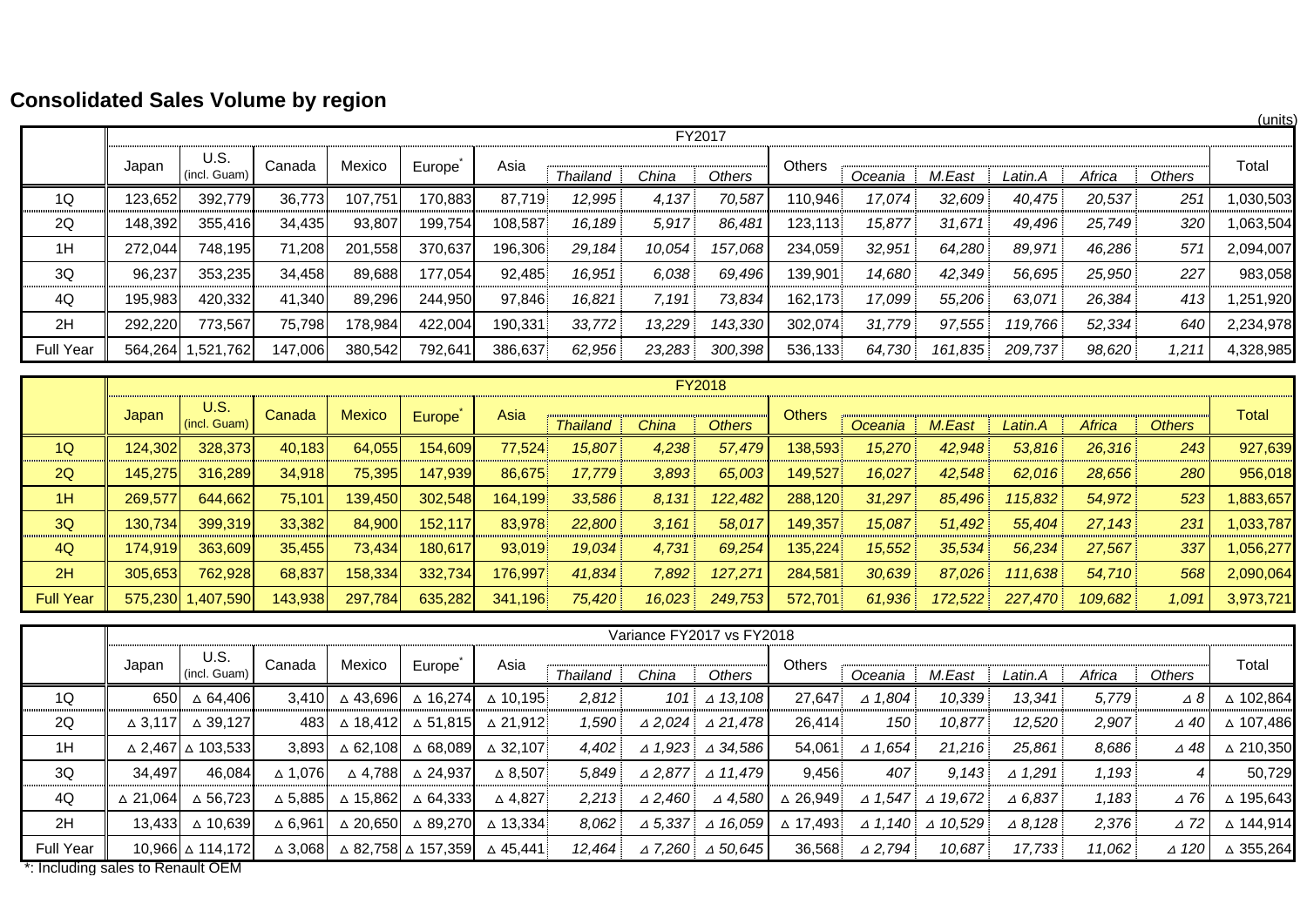# **Consolidated Sales Volume by region**

|                  |         |                      |         | -       |         |         |                 |        |         |               |         |         |         |        |        | (units)   |
|------------------|---------|----------------------|---------|---------|---------|---------|-----------------|--------|---------|---------------|---------|---------|---------|--------|--------|-----------|
|                  |         |                      |         |         |         |         |                 |        | FY2017  |               |         |         |         |        |        |           |
|                  | Japan   | U.S.<br>(incl. Guam) | Canada  | Mexico  | Europe  | Asia    | <b>Thailand</b> | China  | Others  | <b>Others</b> | Oceania | M.East  | Latin.A | Africa | Others | Total     |
| 1Q               | 123,652 | 392,779              | 36,773  | 107,751 | 170,883 | 87,719  | 12,995          | 4,137  | 70,587  | 110,946       | 17,074  | 32,609  | 40,475  | 20,537 | 251    | 1,030,503 |
| 2Q               | 148,392 | 355,416              | 34,435  | 93,807  | 199,754 | 108,587 | 16,189          | 5,917  | 86,481  | 123,113       | 15,877  | 31,671  | 49,496  | 25,749 | 320    | 1,063,504 |
| 1H               | 272,044 | 748,195              | 71,208  | 201,558 | 370,637 | 196,306 | 29,184          | 10,054 | 157,068 | 234,059       | 32,951  | 64,280  | 89,971  | 46,286 | 571    | 2,094,007 |
| 3Q               | 96,237  | 353,235              | 34,458  | 89,688  | 177,054 | 92,485  | 16,951          | 6,038  | 69,496  | 139,901       | 14,680  | 42,349  | 56,695  | 25,950 | 227    | 983,058   |
| 4Q               | 195,983 | 420,332              | 41,340  | 89,296  | 244,950 | 97,846  | 16,821          | 7,191  | 73,834  | 162,173       | 17,099  | 55,206  | 63,071  | 26,384 | 413    | 1,251,920 |
| 2H               | 292,220 | 773,567              | 75,798  | 178,984 | 422,004 | 190,331 | 33,772          | 13,229 | 143,330 | 302,074       | 31,779  | 97,555  | 119,766 | 52,334 | 640    | 2,234,978 |
| <b>Full Year</b> | 564,264 | 1,521,762            | 147,006 | 380,542 | 792,641 | 386,637 | 62,956          | 23,283 | 300,398 | 536,133       | 64,730  | 161,835 | 209,737 | 98,620 | 1,211  | 4,328,985 |

|                  |         |                      |         |               |          |         |                 |        | <b>FY2018</b> |               |         |         |         |         |               |           |
|------------------|---------|----------------------|---------|---------------|----------|---------|-----------------|--------|---------------|---------------|---------|---------|---------|---------|---------------|-----------|
|                  | Japan   | U.S.<br>(incl. Guam) | Canada  | <b>Mexico</b> | Europe   | Asia    | <b>Thailand</b> | China  | <b>Others</b> | <b>Others</b> | Oceania | M.East  | Latin.A | Africa  | <b>Others</b> | Total     |
| 1Q               | 124,302 | 328,373              | 40.183  | 64.055        | 154.609  | 77.524  | 15,807          | 4,238  | 57,479        | 138,593       | 15,270  | 42.948  | 53,816  | 26,316  | 243           | 927,639   |
| 2Q               | 145.275 | 316,289              | 34,918  | 75,395        | 147,939  | 86,675  | 17.779          | 3,893  | 65,003        | 149,527       | 16,027  | 42,548  | 62,016  | 28,656  | 280           | 956,018   |
| 1H               | 269.577 | 644.662              | 75,101  | 139,450       | 302,548  | 164,199 | 33,586          | 8.131  | 122,482       | 288,120       | 31,297  | 85,496  | 115,832 | 54,972  | 523           | 1,883,657 |
| 3Q               | 130.734 | 399,319              | 33,382  | 84,900        | 152, 117 | 83.978  | 22,800          | 3,161  | 58,017        | 149,357       | 15,087  | 51.492  | 55,404  | 27,143  | 231           | 1,033,787 |
| 4Q               | 174.919 | 363,609              | 35,455  | 73,434        | 180.617  | 93,019  | 19,034          | 4,731  | 69,254        | 135,224       | 15,552  | 35,534  | 56,234  | 27,567  | 337           | 1,056,277 |
| 2H               | 305,653 | 762,928              | 68,837  | 158,334       | 332,734  | 176,997 | 41,834          | 7,892  | 127,271       | 284,581       | 30,639  | 87,026  | 111,638 | 54,710  | 568           | 2,090,064 |
| <b>Full Year</b> |         | 575,230 1,407,590    | 143,938 | 297,784       | 635,282  | 341,196 | 75,420          | 16,023 | 249,753       | 572.701       | 61,936  | 172.522 | 227,470 | 109.682 | 1,091         | 3,973,721 |

|                                          |                    |                                       |                   |                    |                      |                    |                 |                   | Variance FY2017 vs FY2018 |                    |                   |                    |                   |        |                 |           |
|------------------------------------------|--------------------|---------------------------------------|-------------------|--------------------|----------------------|--------------------|-----------------|-------------------|---------------------------|--------------------|-------------------|--------------------|-------------------|--------|-----------------|-----------|
|                                          | Japan              | U.S.<br>(incl. Guam)                  | Canada            | Mexico             | Europe               | Asia               | <b>Thailand</b> | China             | Others                    | Others             | Oceania           | M.East             | Latin.A           | Africa | <b>Others</b>   | Total     |
| 1Q                                       | 650                | △ 64,406                              | 3.410             | △ 43,696           | ∆ 16,274             | △ 10.195           | 2,812           | 101               | $\triangle$ 13,108        | 27.647             | $\triangle$ 1,804 | 10,339             | 13.341            | 5,779  | Δ8              | △ 102,864 |
| 2Q                                       | $\triangle$ 3.117  | . 39.127<br>$\Delta$                  | 483               | △ 18,412           | ∆ 51,815             | △ 21.912           | 1,590           | $\triangle$ 2,024 | $\triangle$ 21,478        | 26.414             | 150               | 10,877             | 12,520            | 2,907  | ⊿ 40            | △ 107.486 |
| 1H                                       |                    | $\triangle$ 2,467 $\triangle$ 103,533 | 3.893             | △ 62.108           | ∆ 68,089             | $\triangle$ 32.107 | 4,402           | $\triangle$ 1,923 | $\triangle$ 34,586        | 54.061             | $\triangle$ 1,654 | 21.216             | 25,861            | 8,686  | ⊿ 48            | △ 210,350 |
| 3Q                                       | 34.497             | 46.084                                | $\triangle$ 1.076 | ∆ 4.788            | ∆ 24.937             | $\triangle$ 8,507  | 5.849           | $\triangle$ 2.877 | $\triangle$ 11,479        | 9,456              | 407               | 9.143              | $\triangle$ 1,291 | 1,193  |                 | 50,729    |
| 4Q                                       | $\triangle$ 21.064 | $\triangle$ 56.723                    | $\Delta$ 5,885    | △ 15,862           | ∆ 64.333             | $\triangle$ 4,827  | 2,213           | $\triangle 2,460$ | $\triangle$ 4,580         | $\triangle$ 26.949 | $\triangle$ 1.547 | $\triangle$ 19.672 | $\triangle$ 6,837 | 1,183  | $\triangle$ 76  | △ 195,643 |
| 2H                                       | 13.433             | ∆ 10.639                              | $\triangle$ 6.961 | $\triangle$ 20.650 | △ 89.270             | △ 13.334           | 8.062           | $\triangle$ 5,337 | $\triangle$ 16.059        | ∆ 17.493           | $\triangle$ 1.140 | $\triangle$ 10.529 | $\triangle$ 8.128 | 2,376  | $\triangle$ 72  | △ 144,914 |
| <b>Full Year</b><br>$\sim$ $\sim$ $\sim$ |                    | 10,966 ∆ 114,172                      | ∆ 3,0681          |                    | ∆ 82,758 ∆ 157,359 ∆ | △ 45,441           | 12.464          | $\triangle$ 7,260 | $\triangle$ 50,645        | 36,568             | $\triangle$ 2,794 | 10,687             | 17,733            | 11,062 | $\triangle$ 120 | △ 355,264 |

\*: Including sales to Renault OEM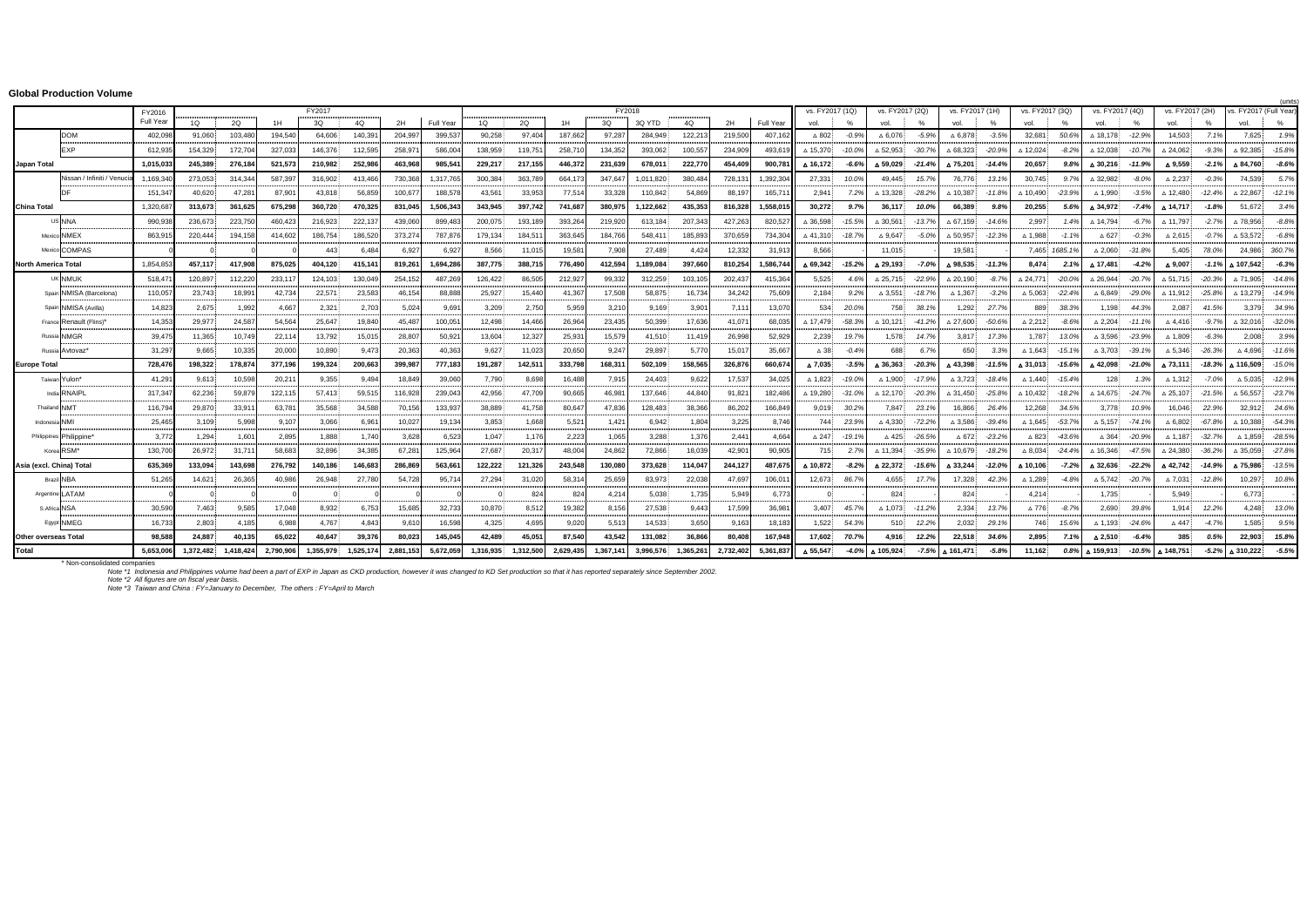#### **Global Production Volume**

|                             | Global Production volume    |              |                                 |                  |                |                                    |              |                                      |                                  |                               |                               |                                     |                                               |                                      |              |                                    |                                               |                            |             |                                              |               |                                      |               |                             |               |                                                        |           |                            |               |                                                 | <i><u><b>funits</b></u></i> |
|-----------------------------|-----------------------------|--------------|---------------------------------|------------------|----------------|------------------------------------|--------------|--------------------------------------|----------------------------------|-------------------------------|-------------------------------|-------------------------------------|-----------------------------------------------|--------------------------------------|--------------|------------------------------------|-----------------------------------------------|----------------------------|-------------|----------------------------------------------|---------------|--------------------------------------|---------------|-----------------------------|---------------|--------------------------------------------------------|-----------|----------------------------|---------------|-------------------------------------------------|-----------------------------|
|                             |                             | FY2016       |                                 |                  |                | FY2017<br><b></b>                  | .            |                                      |                                  |                               |                               |                                     | FY2018<br>.                                   |                                      | .            |                                    |                                               | vs. FY2017 (1Q)            |             | vs. FY2017 (2Q)                              |               | vs. FY2017 (1H)                      |               | vs. FY2017 (3Q)             |               | vs. FY2017 (4Q)                                        |           | vs. FY2017 (2H)            |               | vs. FY2017 (Full Year                           |                             |
|                             |                             | Full Year    | 1Q                              | 2Q               | 1H             | 3Q                                 | 4Q           | 2H                                   | Full Year                        | 1Q                            | 2Q                            | 1H                                  | 3Q                                            | 3Q YTD                               | 4Q           | 2H                                 | Full Year                                     | vol.                       |             | vol.                                         | $\%$          | vol.                                 | $\%$          | vol.                        | $\%$          | vol.                                                   | $\%$      | vol.                       | $\frac{9}{6}$ | vol.                                            | %                           |
|                             | <b>DOM</b>                  | 402,098<br>. | 91.060                          | 103,480<br>.     | 194.540        | 64,606<br>.                        | 140,391<br>. | 204.997                              | 399.53                           | 90,258<br>.                   | 97.404<br>.                   | 187.662<br>.                        | 97,287                                        | 284,949                              | 122,213      | 219,500                            | 407.163                                       | $\triangle$ 802            | $-0.9%$     | $\triangle$ 6.076:                           | $-5.9%$       | $\triangle$ 6.878                    | $-3.5%$       | 32,681                      | 50.6%         | △ 18,178                                               | $-12.9%$  | 14,503                     | 7.1%          | 7,625                                           | 1.9%                        |
|                             | <b>FXP</b>                  | 612,935      | 154,329                         | 172,704          | 327,033        | 146,376                            | 112,595      | 258,971                              | 586.004                          | 138,959                       | 119,751                       | 258,710                             | 134,352                                       | 393.062:                             | 100,557      | 234,909                            | 493.61                                        | △ 15.370                   | $-10.0%$    | $\triangle$ 52.953:                          | $-30.7%$      | $\triangle$ 68.323                   | $-20.9%$      | △ 12,024                    | $-8.2%$       | △ 12.038                                               | $-10.7%$  | △ 24,062                   | $-9.3%$       | △ 92,385                                        | $-15.8%$                    |
| Japan Total                 |                             | 1,015,033    | 245.389                         | 276.184          | 521,573        | 210,982                            | 252,986      | 463,968                              | 985.54                           | 229,217                       | 217,155                       | 446,372                             | 231,639                                       | 678,011                              | 222,770      | 454,409                            | 900.78                                        | ▲ 16.172                   | $-6.6%$     | ▲ 59.029                                     | $-21.4%$      | △ 75,201                             | $-14.4%$      | 20.657                      | 9.8%          | ▲ 30,216                                               | $-11.9%$  | △ 9,559                    | $-2.1%$       | △ 84,760                                        | $-8.6%$                     |
|                             | Nissan / Infiniti / Venucia | 1,169,34     | 273.053<br>.                    | 314.34<br>.      | 587.397<br>.   | 316.902<br>.                       | 413.466<br>. | 730,368                              | 1.317.76<br><b>CONTRACTOR</b>    | 300.384                       | 363.789<br>.                  | 664.173                             | 347.647<br><b><i><u>ALCOHOL: 1999</u></i></b> | 1.011.820                            | 380.484<br>. | 728.131<br>.                       | 1.392.304                                     | 27.331                     | 10.0%       | 49.445                                       | 15.7%         | 76.776                               | 13.1%         | 30.745                      | 9.7%          | △ 32.982                                               | $-8.0%$   | $\triangle 2,237$          | $-0.3%$       | 74.539:                                         | 5.7%                        |
|                             |                             | 151,34       | 40.620                          | 47,28            | 87,90          | 43,818                             | 56,859       | 100,677                              | 188,578                          | 43,561                        | 33,953                        | 77,514                              | 33,328                                        | 110,842                              | 54,869       | 88,197                             | 165,71                                        | 2.941:                     | 7.2%        | $\triangle$ 13.328                           | $-28.2%$      | $\triangle$ 10.387                   | $-11.8%$      | $\triangle$ 10.490          | $-23.9%$      | $\triangle$ 1.990:                                     | $-3.5%$   | $\triangle$ 12.480         | $-12.4%$      | △ 22,867                                        | $-12.1%$                    |
| <b>China Total</b>          |                             | 1,320,687    | 313.673                         | 361,625          | 675,298        | 360,720                            | 470,325      | 831,045                              | 1.506.343                        | 343,945                       | 397,742                       | 741,687                             | 380,975                                       | 1,122,662                            | 435,353      | 816,328                            | 1.558.01                                      | 30,272                     | 9.7%        | 36,117                                       | 10.0%         | 66,389                               | 9.8%          | 20,255                      | 5.6%          | △ 34.972                                               | $-7.4%$   | ▲ 14,717                   | $-1.8%$       | 51,672                                          | 3.4%                        |
|                             | us NNA<br>                  | 990,93       | 236.673                         | 223,750          | 460.423        | 216,923                            | 222,137      | 439,060                              | 899.48                           | 200.075<br>.                  | 193,189                       | 393,264<br>.                        | 219,920                                       | 613,184                              | 207.343      | 427.263                            | 820.52                                        | $\triangle$ 36.598         | $-15.5%$    | $\triangle$ 30.561                           | $-13.7%$      | $\triangle$ 67.159                   | $-14.6%$      | 2,997<br>.                  | 1.4%          | △ 14.794                                               | $-6.7\%$  | △ 11.797                   | $-2.7%$       | △ 78,956                                        | $-8.8%$                     |
|                             | Mexico NMFX<br>             | 863,915<br>. | 220,444                         | 194.158          | 414,602<br>$.$ | 186,754<br>and the company of the  | 186,520<br>  | 373,274<br>.                         | 787,876<br>.                     | 179,134                       | 184,511                       | 363,645<br>.                        | 184,766                                       | 548,411<br>and a market and a market | 185,893<br>. | 370,659<br>.                       | 734,304                                       | △41.310 - 18.7%            |             | $\triangle$ 9,647                            | $-5.0%$       | $\triangle$ 50,957                   | $-12.3%$      | $\triangle$ 1.988           | $-1.1%$       | $\Delta$ 627                                           | $-0.3%$   | $\triangle 2,615$          | $-0.7%$       | $\triangle$ 53,572                              | $-6.8%$                     |
|                             | Mexico COMPAS               |              | $\Omega$                        |                  |                | 443                                | 6.484        | 6,927                                | 6,92                             | 8,566                         | 11,015                        | 19,581                              | 7,908                                         | 27,489                               | 4,424        | 12,332                             | 31.913                                        | 8.566                      |             | 11.015                                       |               | 19,581                               |               |                             | 7,465 1685.1% | $\triangle$ 2,060:                                     | $-31.8%$  | 5,405                      | 78.09         | 24,986 360.7%                                   |                             |
| <b>North America Total</b>  |                             | 1.854.853    | 457,117                         | 417.908          | 875,025        | 404,120                            | 415,141      | 819,261                              | 1,694,286                        | 387,775                       | 388,715                       | 776,490                             | 412,594                                       | 1,189,084                            | 397,660      | 810,254                            | 1,586,744                                     | $\triangle$ 69.342 - 15.2% |             | ▲ 29,193                                     | $-7.0%$       | ▲ 98,535                             | $-11.3%$      | 8.474                       | 2.1%          | A 17.481                                               | $-4.2%$   | △ 9,007                    | $-1.1%$       | △ 107,542                                       | $-6.3%$                     |
|                             | UK NMUK                     | 518.47<br>.  | 120.897                         | 112,220          | 233.117        | 124.103                            | 130.049<br>  | 254.152<br>.                         | 487.26<br>                       | 126.422                       | 86,505                        | 212,927<br>.                        | 99.332                                        | 312,259                              | 103.105      | 202.437<br>.                       | 415.36<br>.                                   | 5.525<br>                  | 4.6%        | $\triangle$ 25.715                           | $-22.9%$      | $\triangle$ 20.190                   | $-8.7%$       | $\triangle$ 24.771          | $-20.0\%$     | △ 26,944                                               | $-20.7%$  | A 51.715 - 20.3%           |               | △ 71.905                                        | $-14.8%$                    |
|                             | Spain NMISA (Barcelona)     | 110.057      | 23.743                          | 18.991           | 42.734         | 22.571                             | 23.583       | 46.154                               | 88.88                            | 25.927                        | 15.440                        | 41.367                              | 17.508                                        | 58.875                               | 16.734       | 34.242                             | 75,609                                        | 2.184                      | 9.2%        | A 3.551                                      | $-18.7%$      | $\triangle$ 1.367.                   | $-3.2%$       | $\triangle$ 5.063           | $-22.4%$      | $\triangle$ 6.849                                      | $-29.0%$  | △ 11.912                   | -25.8%        | △ 13.279                                        | $-14.9%$                    |
|                             | Spain NMISA (Avilla)        | .<br>14,823  | mana mata<br>2,675              | 1,992            | .<br>4,667     | .<br>2,321                         | .<br>2,703   | 5,024                                | .<br>9,69                        | an mana an an an Air<br>3,209 | .<br>2,750                    | <b><i>ALCOHOL: UNK</i></b><br>5,959 | 3,210                                         | <b>A FORD HOLD OF</b><br>9,169       | .<br>3,901   | .<br>7.111                         | .<br>13.070                                   | 534                        | 20.0%       | 758                                          | 38.1%         | 1,292 27.7%                          |               | 889                         | 38.3%         | 1.198                                                  | 44.3%     | 2,087                      | 41.5%         | 3.379 34.9%                                     |                             |
|                             | <br>France Renault (Flins)  | .<br>14.353  | an marata<br>29.977             | .<br>24.587      | .<br>54.564    | .<br>25.647                        | .<br>19,840  | .<br>45.487                          | an an an an a<br>100.051         | an mana<br>12.498             | .<br>14.466                   | 26.964                              | <b>A CONTRACTOR</b><br>23.435                 | .<br>50.399                          | .<br>17.636  | <b>THE REAL PROPERTY</b><br>41.071 | .<br>68,035                                   | △ 17.479                   | $-58.3%$    | $\triangle$ 10.121:                          | $-41.2%$      | .<br>$\triangle$ 27.600 $\therefore$ | .<br>$-50.6%$ | $\triangle$ 2.212:          | $-8.6%$       | <br>$\triangle 2.204$ :                                | $-11.1%$  | $\triangle$ 4.416:         | $-9.7%$       | $\triangle$ 32.016:                             | $-32.0%$                    |
|                             | <br>Russia NMGR             | .<br>39.475  | a a como como face<br>11.365    | .<br>10.749      | .<br>22.114    | <b>Holland County</b><br>13.792    | .<br>15.015  | 28,807                               | .<br>50,921                      | 13,604                        | 12,327                        | 25,931                              | .<br>15.579                                   | 41.510                               | 11.419       | .<br>26.998                        | .<br>52.929                                   | 2.239                      | 19.7%       | <b>CONTRACTOR</b> CONTRACTOR<br>1.578        | 14.7%         |                                      | 3.817 17.3%   | 1.787                       | 13.0%         | $\triangle$ 3.596.                                     | $-23.9%$  | $\triangle$ 1.809          |               | and a management of the company of the<br>2.008 | 3.9%                        |
|                             | <br>Russia Avtovaz'         | .<br>31,297  | <b>ALCOHOL: UNITED</b><br>9,665 | .<br>10,335      | 20,000         | <b><i>CONTRACTOR</i></b><br>10,890 | <br>9.473    | 20,363                               | <b>Andrew Contract</b><br>40,363 | 9,627                         | .<br>11,023                   | .<br>20,650                         | .<br>9,247                                    | 29,897                               | .<br>5,770   | 15,017                             | 35.667                                        | $\triangle$ 38:            | $-0.4%$     | 688                                          | 6.7%          | 650:                                 | 3.3%          | $\triangle$ 1,643 - 15.1%   |               | $\triangle$ 3,703                                      | $-39.1%$  | $\triangle$ 5,346 $-26.39$ |               | $\triangle$ 4,696 $-11.6\%$                     |                             |
| <b>Europe Total</b>         |                             | 728,476      | 198.322                         | 178,87           | 377,196        | 199.324                            | 200,663      | 399,987                              | 777.183                          | 191,287                       | 142,511                       | 333,798                             | 168,31                                        | 502.109                              | 158,565      | 326.876                            | 660,674                                       | △ 7.035                    | $-3.5%$     | ▲ 36.363                                     | $-20.3%$      | △43.398                              | -11.5%        | △ 31.013                    | $-15.6%$      | $\triangle$ 42.098                                     | $-21.0\%$ | △ 73.111                   | -18.3%        | ▲ 116.509                                       | $-15.0%$                    |
|                             | Taiwan Yulon*               | 41,291<br>.  | 9.613                           | 10,598           | 20,21'<br>.    | 9,355<br>.                         | 9.494        | 18,849                               | 39.06<br>an an an an a           | 7,790<br>an mana an an an Alb | 8.698<br><b>ALCOHOL: UNIT</b> | 16.488<br>.                         | 7,915<br>                                     | 24.403<br>manan mata                 | 9,622<br>.   | 17,537                             | 34,02<br>.                                    | $\triangle$ 1.823.         | $-19.0%$    | $\triangle$ 1.900:                           | $-17.9%$      | $\triangle 3,723$ :                  | $-18.4%$      | $\triangle$ 1.440:          | $-15.4%$      | 128                                                    | 1.3%      | △ 1,312.                   | $-7.0%$       | $\Delta$ 5,035.                                 | $-12.9%$                    |
|                             | India RNAIPL                | 317.347      | a mana a ma<br>62.236           | .<br>59.879<br>. | 122,115        | 57.413<br>.                        | .<br>59.515  | 116,928                              | 239.043<br>.                     | 42.956                        | 47.709<br>.                   | 90.665                              | 46.981                                        | 137.646:                             | 44.840       | .<br>91.821                        | 182.486                                       | △ 19.280                   | -31.0%      | $\triangle$ 12.170                           | $-20.3%$      | △ 31,450 -25.8%                      | .             | $\triangle$ 10.432<br>.     | $-18.29$      | △ 14.675                                               | $-24.7%$  | △ 25.107 -21.59            |               | <br>$\triangle$ 56.557:                         | $-23.7%$                    |
|                             | Thailand NMT                | 116,794      | 29.870                          | 33,91            | 63.78          | 35,568                             | 34.588       | 70,156                               | 133.93                           | 38,889                        | 41.758                        | 80,647                              | 47.836                                        | 128.483                              | 38,366       | 86,202                             | 166,849                                       | 9.019.                     | 30.2%       | 7.847                                        | 23.1%         | 16.866                               | 26.4%         | 12.268                      | 34.5%         | 3.778                                                  | 10.9%     | 16.046                     | 22.9%         | 32.912 24.6%                                    |                             |
| Indonesia NMI               |                             | 25.465       | eren en en en de<br>3,109       | 5.998            | .<br>9.107     | <b>CONTRACTOR</b><br>3.066         | .<br>6.961   | <b><i>ALCOHOL: UNK</i></b><br>10,027 | 19,134                           | 3,853                         | .<br>1.668                    | .<br>5,521                          | 1,421                                         | 6.942                                | .<br>1,804   | .<br>3,225                         | <b><i><u>ALCOHOL: UNITED</u></i></b><br>8.746 | 744                        | 23.9%       | <b>ALCOHOL: UNITED</b><br>$\triangle$ 4.330: | .<br>$-72.2%$ | $\triangle$ 3.586:                   | $-39.4%$      | $\triangle$ 1.645:          | $-53.79$      | man and an anti-particular and an<br>$\triangle$ 5.157 | $-74.1%$  | $\triangle$ 6.802          | $-67.89$      | $\triangle$ 10.388                              | $-54.3%$                    |
|                             | Philippines Philippine'     | .<br>3.772   | 1.294                           | 1.601            | .<br>2.895     | 1.888                              | 1.740        | .<br>3.628                           | 6,523                            | 1.047                         | 1.176                         | 2,223                               | <br>1.065                                     | 3.288                                | 1.376        | 2.441                              | <b><i><u>PERMITTENT</u></i></b><br>4.664      | $\triangle$ 247            | $-19.1%$    | $\triangle$ 425                              | $-26.5%$      | △672 -23.2%                          |               | $\triangle$ 823             | $-43.69$      | $\triangle$ 364                                        | -20.9%    | △ 1.187                    | $-32.79$      | $\triangle$ 1.859:                              |                             |
|                             | Korea RSM*                  | .<br>130,700 | 26.972                          | <br>31.71        | 58,683         | 32,896                             | .<br>34,385  | 67,281                               | 125.96                           | .<br>27,687                   | .<br>20,317                   | .<br>48,004                         | .<br>24,862                                   | .<br>72,866                          | .<br>18,039  | 42,901                             | 90,905                                        | 715.                       | 2.7%        | $\triangle$ 11.394                           | $-35.9%$      | $\triangle$ 10.679                   | $-18.2%$      | $\triangle$ 8.034 $-24.4\%$ |               | $\land$ 16.346                                         | $-47.5%$  | △ 24,380                   | $-36.29$      | △ 35,059 -27.8%                                 |                             |
| Asia (excl. China) Total    |                             | 635,369      | 133,094                         | 143,698          | 276,792        | 140,186                            | 146,683      | 286,869                              | 563,66                           | 122,222                       | 121,326                       | 243,548                             | 130,080                                       | 373,628                              | 114,047      | 244,127                            | 487,675                                       | ▲ 10.872                   | $-8.2%$     | ▲ 22,372                                     | -15.6%        | △ 33,244                             | -12.0%        | Δ 10,106                    | $-7.2%$       | △ 32,636                                               | $-22.2%$  | △42,742 - 14.9%            |               | ▲ 75,986                                        | $-13.5%$                    |
|                             | Brazil NBA                  | 51,265<br>.  | 14.621<br>.                     | 26,365<br>.      | 40.986<br>.    | 26,948                             | 27,780       | 54.728                               | 95.71<br>.                       | 27,294<br>.                   | 31,020<br>.                   | 58,314<br>.                         | 25.659<br>.                                   | 83.973                               | 22,038       | 47.697<br>.                        | 106.01                                        | 12.673                     | 86.7%       | 4.655<br>.                                   | 17.7%         | 17,328                               | 42.3%         | △ 1,289                     | $-4.8%$       | $\Delta$ 5,742.                                        | $-20.7%$  | $\Delta$ 7,031             | $-12.89$      | 10,297                                          | 10.8%                       |
|                             | Argentine LATAM             | .            | $\Omega$<br>.                   |                  | .              | a a concerta a concil              | .            |                                      | .                                |                               | 824                           | 824                                 | 4.214<br>.                                    | 5.038                                | 1.735<br>.   | 5.949                              | 6.77<br>.                                     |                            |             | 824<br>.                                     |               | 824<br>.                             |               | 4.214<br>.                  | .             | 1.735                                                  |           | 5.949<br>.                 |               | 6.773<br>a ann an seachain an a-mach            |                             |
|                             | S.Africa NSA                | 30,590       | 7.463                           | 9.585            | 17.048         | 8.932                              | 6.753        | 15,685                               | 32,733                           | 10,870                        | 8.512                         | 19,382                              | 8.156                                         | 27.538                               | 9.443        | 17,599                             | 36,981                                        |                            | 3.407 45.7% | $\triangle$ 1.073 $-11.2\%$                  |               | 2.334                                | 13.7%         | $\triangle$ 776             | $-8.7%$       | 2.690                                                  | 39.8%     | 1.914                      | 12.29         | 4.248                                           | 13.0%                       |
|                             | <br>Eavot NMEG              | .<br>16,733  | an manautin<br>2.803            | 4.185            | .<br>6,988     | .<br>4,767                         | .<br>4.843   | 9,610                                | 16,598                           | .<br>4,325                    | .<br>4,695                    | .<br>9,020                          | .<br>5,513                                    | .<br>14,533                          | .<br>3,650   | 9,163                              | 18.183                                        | 1.522                      | 54.3%       | a mara mata<br>510                           | .<br>12.2%    | .<br>2,032                           | .<br>29.1%    | 746                         | 15.6%         | $\triangle$ 1,193:                                     | $-24.6%$  | $\triangle$ 447            | $-4.7%$       | .<br>1.585.                                     | 9.5%                        |
| <b>Other overseas Total</b> |                             | 98,588       | 24.887                          | 40.135           | 65,022         | 40,647                             | 39,376       | 80.023                               | 145.045                          | 42,489                        | 45,051                        | 87.540                              | 43,542                                        | 131,082                              | 36,866       | 80,408                             | 167,948                                       | 17,602                     | 70.7%       | 4.916                                        | 12.2%         | 22,518                               | 34.6%         | 2,895                       | 7.1%          | $\triangle 2,510$                                      | $-6.4\%$  | 385                        | 0.5%          | 22,903                                          | 15.8%                       |
| Total                       |                             | 5.653.006    | 1.372.482                       | 1.418.424        | 2.790.906      | 1,355,979 1,525,174                |              | 2.881.153                            | 5,672,059                        | 1,316,935 1,312,500           |                               | 2,629,435                           | 1.367.141                                     | 3,996,576 1,365,261                  |              | 2.732.402                          | 5.361.837                                     | $\triangle$ 55,547         |             | $-4.0\%$ $\triangle$ 105,924                 |               | $-7.5\%$ $\triangle$ 161,471         | $-5.8\%$      | 11.162                      |               | $0.8\%$ $\triangle$ 159,913                            |           | $-10.5\%$ $\Delta$ 148,751 |               | $-5.2\%$ $\triangle$ 310,222                    | $-5.5%$                     |

\* Non-consolidated companies

*Note \*1 Note \*2 Note \*3* Indonesia and Philippines volume had been a part of EXP in Japan as CKD production, however it was changed to KD Set production so that it has reported separately since September 2002.<br>All figures are on fiscal year basis.